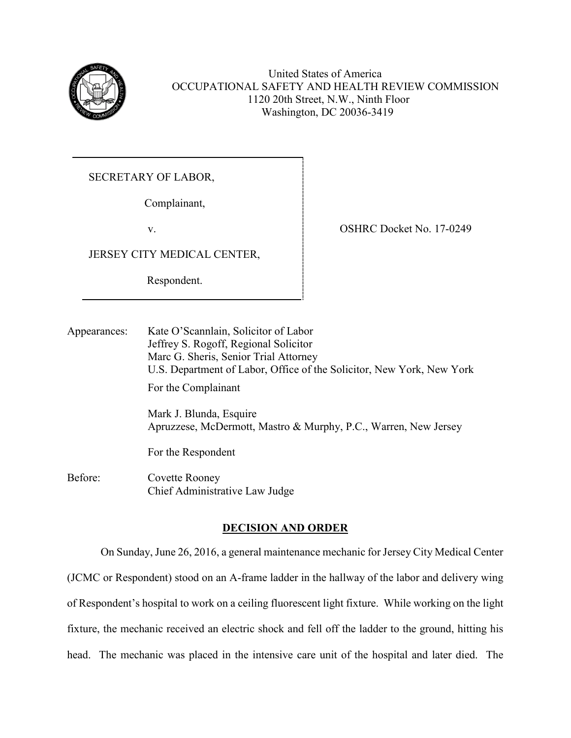

United States of America OCCUPATIONAL SAFETY AND HEALTH REVIEW COMMISSION 1120 20th Street, N.W., Ninth Floor Washington, DC 20036-3419

SECRETARY OF LABOR,

Complainant,

v.

JERSEY CITY MEDICAL CENTER,

Respondent.

OSHRC Docket No. 17-0249

Appearances: Kate O'Scannlain, Solicitor of Labor Jeffrey S. Rogoff, Regional Solicitor Marc G. Sheris, Senior Trial Attorney U.S. Department of Labor, Office of the Solicitor, New York, New York For the Complainant Mark J. Blunda, Esquire Apruzzese, McDermott, Mastro & Murphy, P.C., Warren, New Jersey For the Respondent

Before: Covette Rooney Chief Administrative Law Judge

# **DECISION AND ORDER**

On Sunday, June 26, 2016, a general maintenance mechanic for Jersey City Medical Center (JCMC or Respondent) stood on an A-frame ladder in the hallway of the labor and delivery wing of Respondent's hospital to work on a ceiling fluorescent light fixture. While working on the light fixture, the mechanic received an electric shock and fell off the ladder to the ground, hitting his head. The mechanic was placed in the intensive care unit of the hospital and later died. The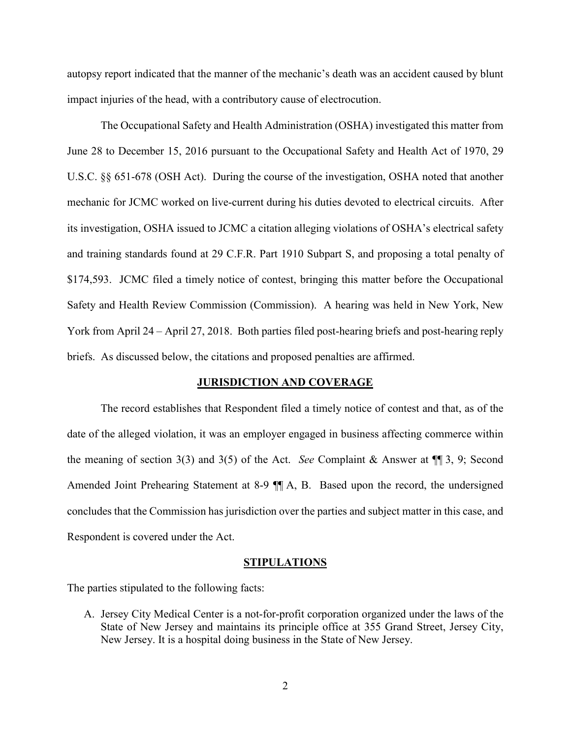autopsy report indicated that the manner of the mechanic's death was an accident caused by blunt impact injuries of the head, with a contributory cause of electrocution.

The Occupational Safety and Health Administration (OSHA) investigated this matter from June 28 to December 15, 2016 pursuant to the Occupational Safety and Health Act of 1970, 29 U.S.C. §§ 651-678 (OSH Act). During the course of the investigation, OSHA noted that another mechanic for JCMC worked on live-current during his duties devoted to electrical circuits. After its investigation, OSHA issued to JCMC a citation alleging violations of OSHA's electrical safety and training standards found at 29 C.F.R. Part 1910 Subpart S, and proposing a total penalty of \$174,593. JCMC filed a timely notice of contest, bringing this matter before the Occupational Safety and Health Review Commission (Commission). A hearing was held in New York, New York from April 24 – April 27, 2018. Both parties filed post-hearing briefs and post-hearing reply briefs. As discussed below, the citations and proposed penalties are affirmed.

## **JURISDICTION AND COVERAGE**

The record establishes that Respondent filed a timely notice of contest and that, as of the date of the alleged violation, it was an employer engaged in business affecting commerce within the meaning of section 3(3) and 3(5) of the Act. *See* Complaint & Answer at ¶¶ 3, 9; Second Amended Joint Prehearing Statement at 8-9 ¶¶ A, B. Based upon the record, the undersigned concludes that the Commission has jurisdiction over the parties and subject matter in this case, and Respondent is covered under the Act.

#### **STIPULATIONS**

The parties stipulated to the following facts:

A. Jersey City Medical Center is a not-for-profit corporation organized under the laws of the State of New Jersey and maintains its principle office at 355 Grand Street, Jersey City, New Jersey. It is a hospital doing business in the State of New Jersey.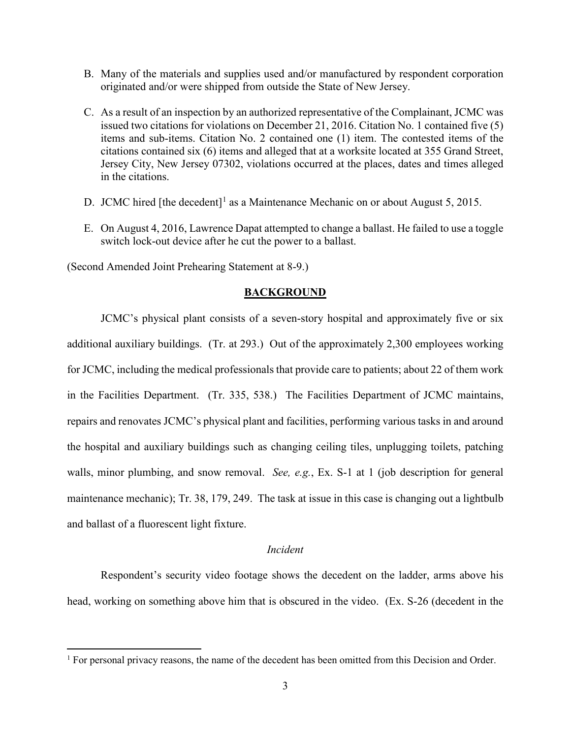- B. Many of the materials and supplies used and/or manufactured by respondent corporation originated and/or were shipped from outside the State of New Jersey.
- C. As a result of an inspection by an authorized representative of the Complainant, JCMC was issued two citations for violations on December 21, 2016. Citation No. 1 contained five (5) items and sub-items. Citation No. 2 contained one (1) item. The contested items of the citations contained six (6) items and alleged that at a worksite located at 355 Grand Street, Jersey City, New Jersey 07302, violations occurred at the places, dates and times alleged in the citations.
- D. JCMC hired [the decedent]<sup>[1](#page-2-0)</sup> as a Maintenance Mechanic on or about August 5, 2015.
- E. On August 4, 2016, Lawrence Dapat attempted to change a ballast. He failed to use a toggle switch lock-out device after he cut the power to a ballast.

(Second Amended Joint Prehearing Statement at 8-9.)

### **BACKGROUND**

JCMC's physical plant consists of a seven-story hospital and approximately five or six additional auxiliary buildings. (Tr. at 293.) Out of the approximately 2,300 employees working for JCMC, including the medical professionals that provide care to patients; about 22 of them work in the Facilities Department. (Tr. 335, 538.) The Facilities Department of JCMC maintains, repairs and renovates JCMC's physical plant and facilities, performing various tasks in and around the hospital and auxiliary buildings such as changing ceiling tiles, unplugging toilets, patching walls, minor plumbing, and snow removal. *See, e.g.*, Ex. S-1 at 1 (job description for general maintenance mechanic); Tr. 38, 179, 249. The task at issue in this case is changing out a lightbulb and ballast of a fluorescent light fixture.

### *Incident*

Respondent's security video footage shows the decedent on the ladder, arms above his head, working on something above him that is obscured in the video. (Ex. S-26 (decedent in the

<span id="page-2-0"></span><sup>&</sup>lt;sup>1</sup> For personal privacy reasons, the name of the decedent has been omitted from this Decision and Order.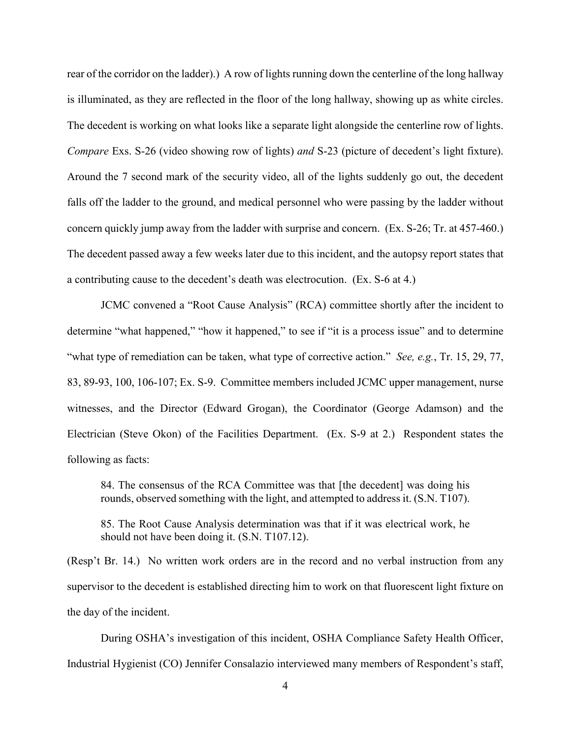rear of the corridor on the ladder).) A row of lights running down the centerline of the long hallway is illuminated, as they are reflected in the floor of the long hallway, showing up as white circles. The decedent is working on what looks like a separate light alongside the centerline row of lights. *Compare* Exs. S-26 (video showing row of lights) *and* S-23 (picture of decedent's light fixture). Around the 7 second mark of the security video, all of the lights suddenly go out, the decedent falls off the ladder to the ground, and medical personnel who were passing by the ladder without concern quickly jump away from the ladder with surprise and concern. (Ex. S-26; Tr. at 457-460.) The decedent passed away a few weeks later due to this incident, and the autopsy report states that a contributing cause to the decedent's death was electrocution. (Ex. S-6 at 4.)

JCMC convened a "Root Cause Analysis" (RCA) committee shortly after the incident to determine "what happened," "how it happened," to see if "it is a process issue" and to determine "what type of remediation can be taken, what type of corrective action." *See, e.g.*, Tr. 15, 29, 77, 83, 89-93, 100, 106-107; Ex. S-9. Committee members included JCMC upper management, nurse witnesses, and the Director (Edward Grogan), the Coordinator (George Adamson) and the Electrician (Steve Okon) of the Facilities Department. (Ex. S-9 at 2.) Respondent states the following as facts:

84. The consensus of the RCA Committee was that [the decedent] was doing his rounds, observed something with the light, and attempted to address it. (S.N. T107).

85. The Root Cause Analysis determination was that if it was electrical work, he should not have been doing it. (S.N. T107.12).

(Resp't Br. 14.) No written work orders are in the record and no verbal instruction from any supervisor to the decedent is established directing him to work on that fluorescent light fixture on the day of the incident.

 During OSHA's investigation of this incident, OSHA Compliance Safety Health Officer, Industrial Hygienist (CO) Jennifer Consalazio interviewed many members of Respondent's staff,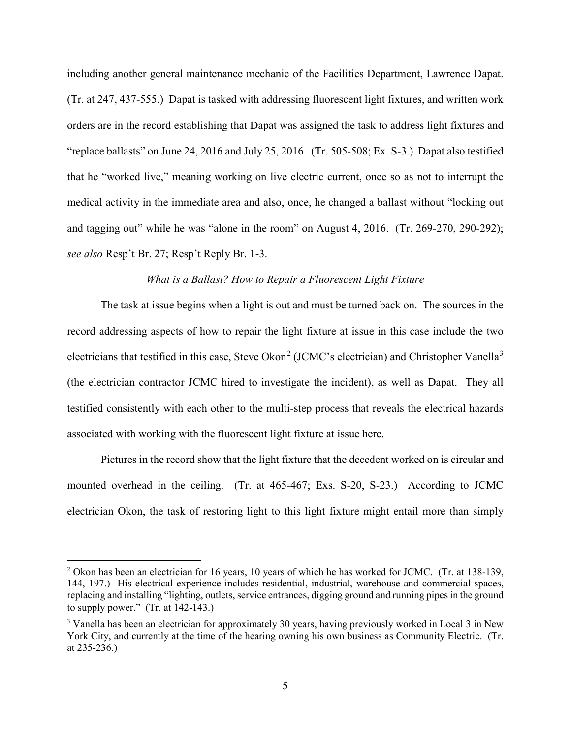including another general maintenance mechanic of the Facilities Department, Lawrence Dapat. (Tr. at 247, 437-555.) Dapat is tasked with addressing fluorescent light fixtures, and written work orders are in the record establishing that Dapat was assigned the task to address light fixtures and "replace ballasts" on June 24, 2016 and July 25, 2016. (Tr. 505-508; Ex. S-3.) Dapat also testified that he "worked live," meaning working on live electric current, once so as not to interrupt the medical activity in the immediate area and also, once, he changed a ballast without "locking out and tagging out" while he was "alone in the room" on August 4, 2016. (Tr. 269-270, 290-292); *see also* Resp't Br. 27; Resp't Reply Br. 1-3.

## *What is a Ballast? How to Repair a Fluorescent Light Fixture*

The task at issue begins when a light is out and must be turned back on. The sources in the record addressing aspects of how to repair the light fixture at issue in this case include the two electricians that testified in this case, Steve Okon<sup>[2](#page-4-0)</sup> (JCMC's electrician) and Christopher Vanella<sup>[3](#page-4-1)</sup> (the electrician contractor JCMC hired to investigate the incident), as well as Dapat. They all testified consistently with each other to the multi-step process that reveals the electrical hazards associated with working with the fluorescent light fixture at issue here.

Pictures in the record show that the light fixture that the decedent worked on is circular and mounted overhead in the ceiling. (Tr. at 465-467; Exs. S-20, S-23.) According to JCMC electrician Okon, the task of restoring light to this light fixture might entail more than simply

<span id="page-4-0"></span><sup>2</sup> Okon has been an electrician for 16 years, 10 years of which he has worked for JCMC. (Tr. at 138-139, 144, 197.) His electrical experience includes residential, industrial, warehouse and commercial spaces, replacing and installing "lighting, outlets, service entrances, digging ground and running pipes in the ground to supply power." (Tr. at 142-143.)

<span id="page-4-1"></span><sup>&</sup>lt;sup>3</sup> Vanella has been an electrician for approximately 30 years, having previously worked in Local 3 in New York City, and currently at the time of the hearing owning his own business as Community Electric. (Tr. at 235-236.)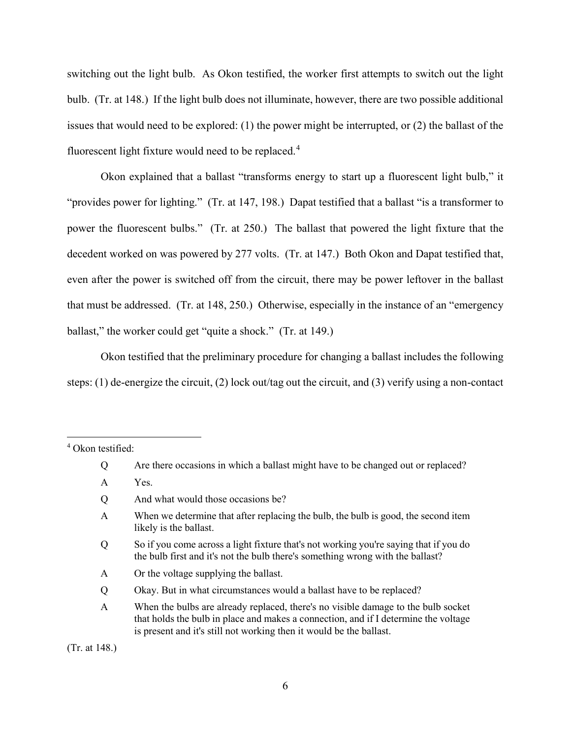switching out the light bulb. As Okon testified, the worker first attempts to switch out the light bulb. (Tr. at 148.) If the light bulb does not illuminate, however, there are two possible additional issues that would need to be explored: (1) the power might be interrupted, or (2) the ballast of the fluorescent light fixture would need to be replaced. $4$ 

Okon explained that a ballast "transforms energy to start up a fluorescent light bulb," it "provides power for lighting." (Tr. at 147, 198.) Dapat testified that a ballast "is a transformer to power the fluorescent bulbs." (Tr. at 250.) The ballast that powered the light fixture that the decedent worked on was powered by 277 volts. (Tr. at 147.) Both Okon and Dapat testified that, even after the power is switched off from the circuit, there may be power leftover in the ballast that must be addressed. (Tr. at 148, 250.) Otherwise, especially in the instance of an "emergency ballast," the worker could get "quite a shock." (Tr. at 149.)

Okon testified that the preliminary procedure for changing a ballast includes the following steps: (1) de-energize the circuit, (2) lock out/tag out the circuit, and (3) verify using a non-contact

- Q So if you come across a light fixture that's not working you're saying that if you do the bulb first and it's not the bulb there's something wrong with the ballast?
- A Or the voltage supplying the ballast.
- Q Okay. But in what circumstances would a ballast have to be replaced?
- A When the bulbs are already replaced, there's no visible damage to the bulb socket that holds the bulb in place and makes a connection, and if I determine the voltage is present and it's still not working then it would be the ballast.

(Tr. at 148.)

<span id="page-5-0"></span><sup>4</sup> Okon testified:

Q Are there occasions in which a ballast might have to be changed out or replaced?

A Yes.

Q And what would those occasions be?

A When we determine that after replacing the bulb, the bulb is good, the second item likely is the ballast.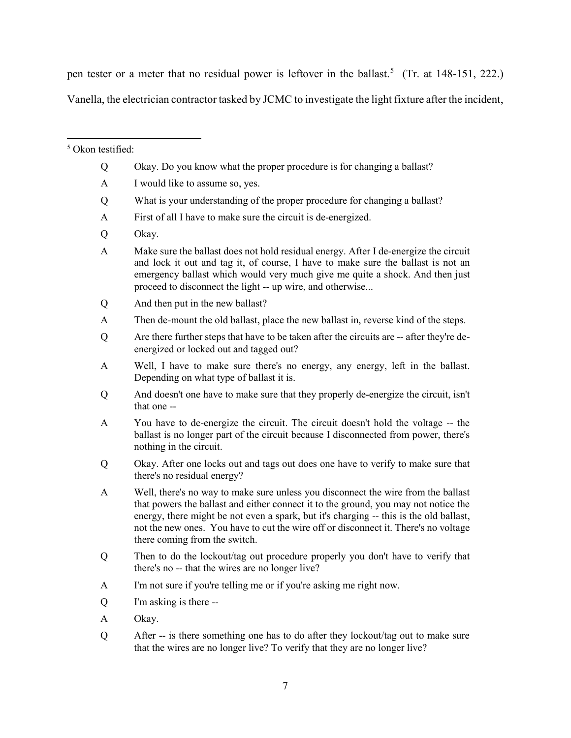pen tester or a meter that no residual power is leftover in the ballast.<sup>[5](#page-6-0)</sup> (Tr. at 148-151, 222.)

Vanella, the electrician contractor tasked by JCMC to investigate the light fixture after the incident,

<span id="page-6-0"></span><sup>5</sup> Okon testified:

- Q Okay. Do you know what the proper procedure is for changing a ballast?
- A I would like to assume so, yes.
- Q What is your understanding of the proper procedure for changing a ballast?
- A First of all I have to make sure the circuit is de-energized.
- Q Okay.
- A Make sure the ballast does not hold residual energy. After I de-energize the circuit and lock it out and tag it, of course, I have to make sure the ballast is not an emergency ballast which would very much give me quite a shock. And then just proceed to disconnect the light -- up wire, and otherwise...
- Q And then put in the new ballast?
- A Then de-mount the old ballast, place the new ballast in, reverse kind of the steps.
- Q Are there further steps that have to be taken after the circuits are -- after they're deenergized or locked out and tagged out?
- A Well, I have to make sure there's no energy, any energy, left in the ballast. Depending on what type of ballast it is.
- Q And doesn't one have to make sure that they properly de-energize the circuit, isn't that one --
- A You have to de-energize the circuit. The circuit doesn't hold the voltage -- the ballast is no longer part of the circuit because I disconnected from power, there's nothing in the circuit.
- Q Okay. After one locks out and tags out does one have to verify to make sure that there's no residual energy?
- A Well, there's no way to make sure unless you disconnect the wire from the ballast that powers the ballast and either connect it to the ground, you may not notice the energy, there might be not even a spark, but it's charging -- this is the old ballast, not the new ones. You have to cut the wire off or disconnect it. There's no voltage there coming from the switch.
- Q Then to do the lockout/tag out procedure properly you don't have to verify that there's no -- that the wires are no longer live?
- A I'm not sure if you're telling me or if you're asking me right now.
- Q I'm asking is there --
- A Okay.
- Q After -- is there something one has to do after they lockout/tag out to make sure that the wires are no longer live? To verify that they are no longer live?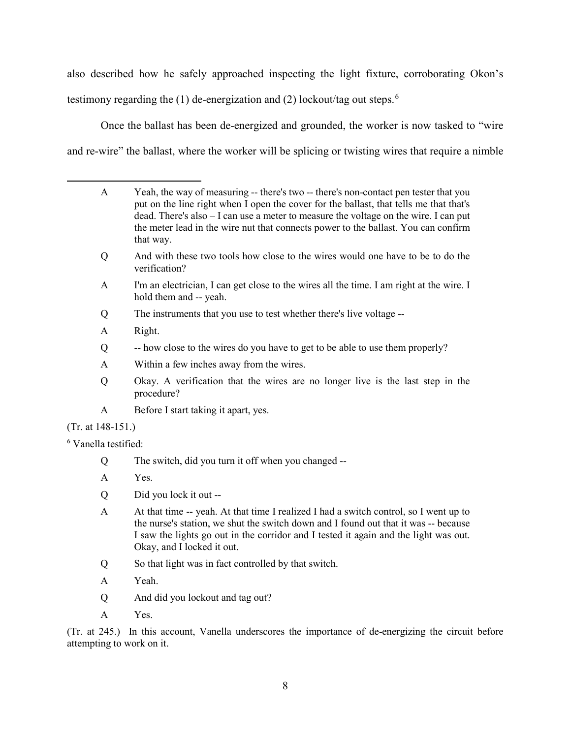also described how he safely approached inspecting the light fixture, corroborating Okon's testimony regarding the (1) de-energization and (2) lockout/tag out steps.<sup>[6](#page-7-0)</sup>

Once the ballast has been de-energized and grounded, the worker is now tasked to "wire and re-wire" the ballast, where the worker will be splicing or twisting wires that require a nimble

- Q And with these two tools how close to the wires would one have to be to do the verification?
- A I'm an electrician, I can get close to the wires all the time. I am right at the wire. I hold them and -- yeah.
- Q The instruments that you use to test whether there's live voltage --
- A Right.
- Q -- how close to the wires do you have to get to be able to use them properly?
- A Within a few inches away from the wires.
- Q Okay. A verification that the wires are no longer live is the last step in the procedure?
- A Before I start taking it apart, yes.

## (Tr. at 148-151.)

<span id="page-7-0"></span><sup>6</sup> Vanella testified:

- Q The switch, did you turn it off when you changed --
- A Yes.
- Q Did you lock it out --
- A At that time -- yeah. At that time I realized I had a switch control, so I went up to the nurse's station, we shut the switch down and I found out that it was -- because I saw the lights go out in the corridor and I tested it again and the light was out. Okay, and I locked it out.
- Q So that light was in fact controlled by that switch.
- A Yeah.
- Q And did you lockout and tag out?
- A Yes.

(Tr. at 245.) In this account, Vanella underscores the importance of de-energizing the circuit before attempting to work on it.

A Yeah, the way of measuring -- there's two -- there's non-contact pen tester that you put on the line right when I open the cover for the ballast, that tells me that that's dead. There's also – I can use a meter to measure the voltage on the wire. I can put the meter lead in the wire nut that connects power to the ballast. You can confirm that way.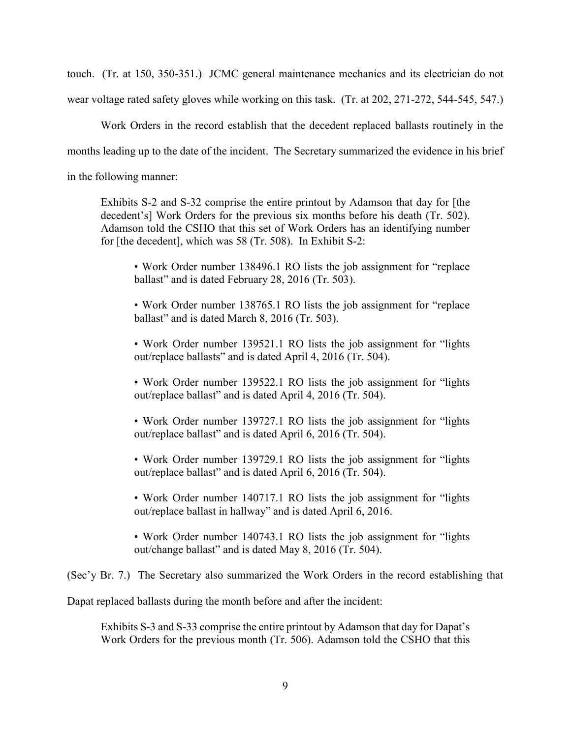touch. (Tr. at 150, 350-351.) JCMC general maintenance mechanics and its electrician do not wear voltage rated safety gloves while working on this task. (Tr. at 202, 271-272, 544-545, 547.)

Work Orders in the record establish that the decedent replaced ballasts routinely in the months leading up to the date of the incident. The Secretary summarized the evidence in his brief in the following manner:

Exhibits S-2 and S-32 comprise the entire printout by Adamson that day for [the decedent's] Work Orders for the previous six months before his death (Tr. 502). Adamson told the CSHO that this set of Work Orders has an identifying number for [the decedent], which was 58 (Tr. 508). In Exhibit S-2:

• Work Order number 138496.1 RO lists the job assignment for "replace ballast" and is dated February 28, 2016 (Tr. 503).

• Work Order number 138765.1 RO lists the job assignment for "replace ballast" and is dated March 8, 2016 (Tr. 503).

• Work Order number 139521.1 RO lists the job assignment for "lights out/replace ballasts" and is dated April 4, 2016 (Tr. 504).

• Work Order number 139522.1 RO lists the job assignment for "lights out/replace ballast" and is dated April 4, 2016 (Tr. 504).

• Work Order number 139727.1 RO lists the job assignment for "lights" out/replace ballast" and is dated April 6, 2016 (Tr. 504).

• Work Order number 139729.1 RO lists the job assignment for "lights out/replace ballast" and is dated April 6, 2016 (Tr. 504).

• Work Order number 140717.1 RO lists the job assignment for "lights" out/replace ballast in hallway" and is dated April 6, 2016.

• Work Order number 140743.1 RO lists the job assignment for "lights" out/change ballast" and is dated May 8, 2016 (Tr. 504).

(Sec'y Br. 7.) The Secretary also summarized the Work Orders in the record establishing that

Dapat replaced ballasts during the month before and after the incident:

Exhibits S-3 and S-33 comprise the entire printout by Adamson that day for Dapat's Work Orders for the previous month (Tr. 506). Adamson told the CSHO that this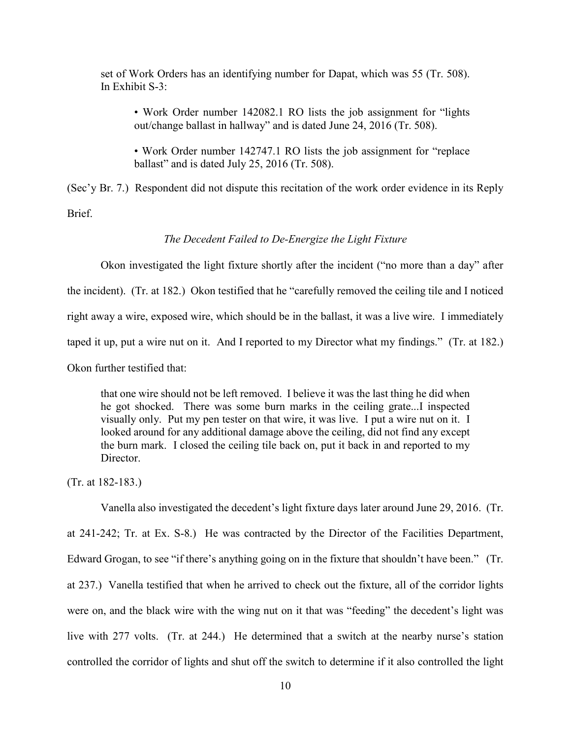set of Work Orders has an identifying number for Dapat, which was 55 (Tr. 508). In Exhibit S-3:

• Work Order number 142082.1 RO lists the job assignment for "lights out/change ballast in hallway" and is dated June 24, 2016 (Tr. 508).

• Work Order number 142747.1 RO lists the job assignment for "replace ballast" and is dated July 25, 2016 (Tr. 508).

(Sec'y Br. 7.) Respondent did not dispute this recitation of the work order evidence in its Reply Brief.

## *The Decedent Failed to De-Energize the Light Fixture*

Okon investigated the light fixture shortly after the incident ("no more than a day" after the incident). (Tr. at 182.) Okon testified that he "carefully removed the ceiling tile and I noticed right away a wire, exposed wire, which should be in the ballast, it was a live wire. I immediately taped it up, put a wire nut on it. And I reported to my Director what my findings." (Tr. at 182.) Okon further testified that:

that one wire should not be left removed. I believe it was the last thing he did when he got shocked. There was some burn marks in the ceiling grate...I inspected visually only. Put my pen tester on that wire, it was live. I put a wire nut on it. I looked around for any additional damage above the ceiling, did not find any except the burn mark. I closed the ceiling tile back on, put it back in and reported to my Director.

(Tr. at 182-183.)

Vanella also investigated the decedent's light fixture days later around June 29, 2016. (Tr. at 241-242; Tr. at Ex. S-8.) He was contracted by the Director of the Facilities Department, Edward Grogan, to see "if there's anything going on in the fixture that shouldn't have been." (Tr. at 237.) Vanella testified that when he arrived to check out the fixture, all of the corridor lights were on, and the black wire with the wing nut on it that was "feeding" the decedent's light was live with 277 volts. (Tr. at 244.) He determined that a switch at the nearby nurse's station controlled the corridor of lights and shut off the switch to determine if it also controlled the light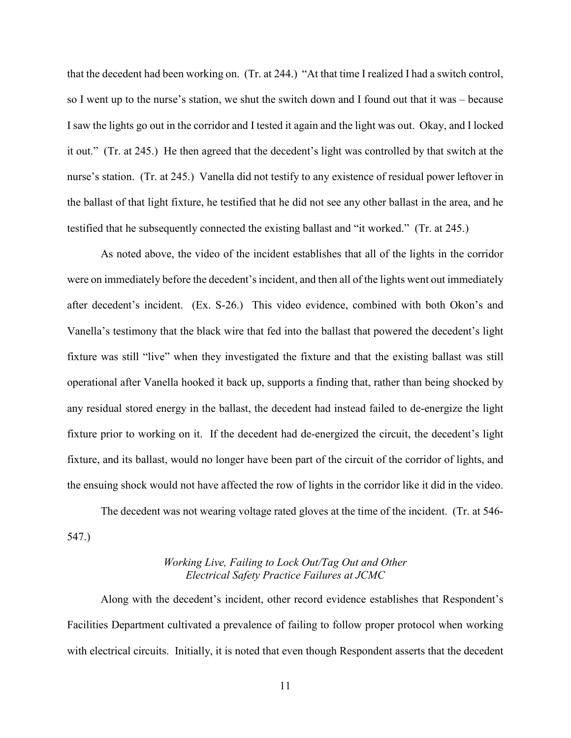that the decedent had been working on. (Tr. at 244.) "At that time I realized I had a switch control, so I went up to the nurse's station, we shut the switch down and I found out that it was – because I saw the lights go out in the corridor and I tested it again and the light was out. Okay, and I locked it out." (Tr. at 245.) He then agreed that the decedent's light was controlled by that switch at the nurse's station. (Tr. at 245.) Vanella did not testify to any existence of residual power leftover in the ballast of that light fixture, he testified that he did not see any other ballast in the area, and he testified that he subsequently connected the existing ballast and "it worked." (Tr. at 245.)

As noted above, the video of the incident establishes that all of the lights in the corridor were on immediately before the decedent's incident, and then all of the lights went out immediately after decedent's incident. (Ex. S-26.) This video evidence, combined with both Okon's and Vanella's testimony that the black wire that fed into the ballast that powered the decedent's light fixture was still "live" when they investigated the fixture and that the existing ballast was still operational after Vanella hooked it back up, supports a finding that, rather than being shocked by any residual stored energy in the ballast, the decedent had instead failed to de-energize the light fixture prior to working on it. If the decedent had de-energized the circuit, the decedent's light fixture, and its ballast, would no longer have been part of the circuit of the corridor of lights, and the ensuing shock would not have affected the row of lights in the corridor like it did in the video.

The decedent was not wearing voltage rated gloves at the time of the incident. (Tr. at 546- 547.)

## *Working Live, Failing to Lock Out/Tag Out and Other Electrical Safety Practice Failures at JCMC*

Along with the decedent's incident, other record evidence establishes that Respondent's Facilities Department cultivated a prevalence of failing to follow proper protocol when working with electrical circuits. Initially, it is noted that even though Respondent asserts that the decedent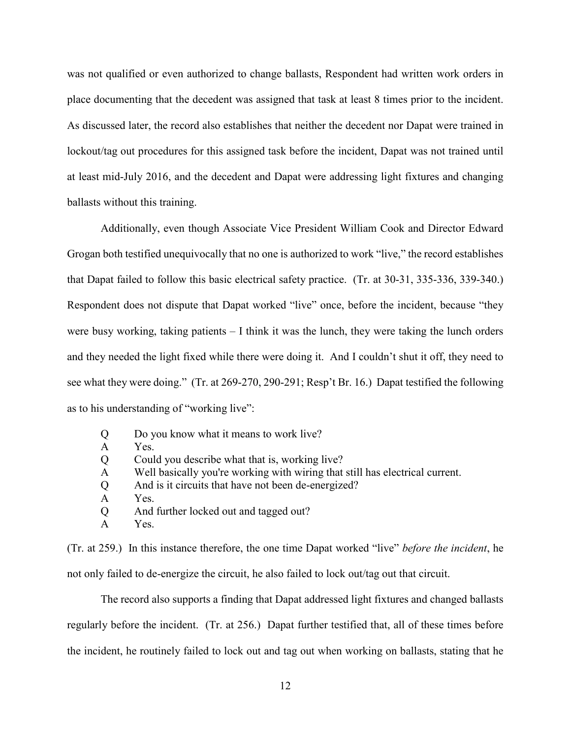was not qualified or even authorized to change ballasts, Respondent had written work orders in place documenting that the decedent was assigned that task at least 8 times prior to the incident. As discussed later, the record also establishes that neither the decedent nor Dapat were trained in lockout/tag out procedures for this assigned task before the incident, Dapat was not trained until at least mid-July 2016, and the decedent and Dapat were addressing light fixtures and changing ballasts without this training.

Additionally, even though Associate Vice President William Cook and Director Edward Grogan both testified unequivocally that no one is authorized to work "live," the record establishes that Dapat failed to follow this basic electrical safety practice. (Tr. at 30-31, 335-336, 339-340.) Respondent does not dispute that Dapat worked "live" once, before the incident, because "they were busy working, taking patients – I think it was the lunch, they were taking the lunch orders and they needed the light fixed while there were doing it. And I couldn't shut it off, they need to see what they were doing." (Tr. at 269-270, 290-291; Resp't Br. 16.) Dapat testified the following as to his understanding of "working live":

- Q Do you know what it means to work live?
- A Yes.
- Q Could you describe what that is, working live?
- A Well basically you're working with wiring that still has electrical current.
- Q And is it circuits that have not been de-energized?
- A Yes.
- Q And further locked out and tagged out?
- A Yes.

(Tr. at 259.) In this instance therefore, the one time Dapat worked "live" *before the incident*, he not only failed to de-energize the circuit, he also failed to lock out/tag out that circuit.

The record also supports a finding that Dapat addressed light fixtures and changed ballasts regularly before the incident. (Tr. at 256.) Dapat further testified that, all of these times before the incident, he routinely failed to lock out and tag out when working on ballasts, stating that he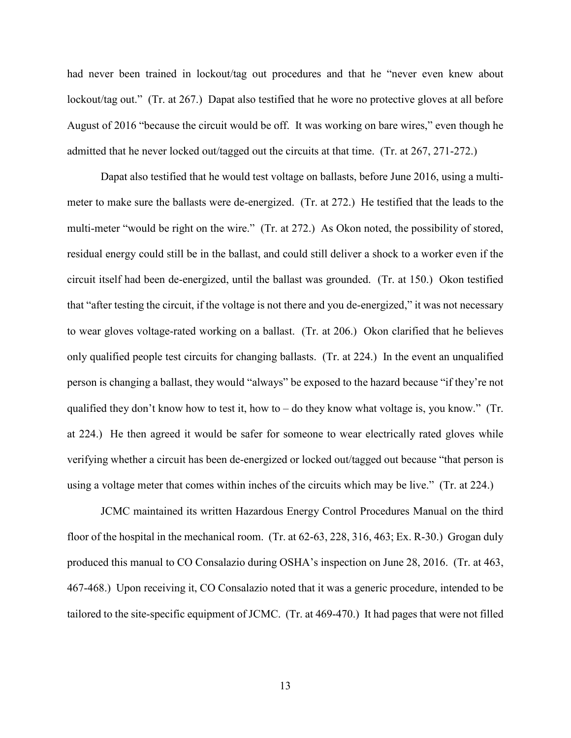had never been trained in lockout/tag out procedures and that he "never even knew about lockout/tag out." (Tr. at 267.) Dapat also testified that he wore no protective gloves at all before August of 2016 "because the circuit would be off. It was working on bare wires," even though he admitted that he never locked out/tagged out the circuits at that time. (Tr. at 267, 271-272.)

Dapat also testified that he would test voltage on ballasts, before June 2016, using a multimeter to make sure the ballasts were de-energized. (Tr. at 272.) He testified that the leads to the multi-meter "would be right on the wire." (Tr. at 272.) As Okon noted, the possibility of stored, residual energy could still be in the ballast, and could still deliver a shock to a worker even if the circuit itself had been de-energized, until the ballast was grounded. (Tr. at 150.) Okon testified that "after testing the circuit, if the voltage is not there and you de-energized," it was not necessary to wear gloves voltage-rated working on a ballast. (Tr. at 206.) Okon clarified that he believes only qualified people test circuits for changing ballasts. (Tr. at 224.) In the event an unqualified person is changing a ballast, they would "always" be exposed to the hazard because "if they're not qualified they don't know how to test it, how to – do they know what voltage is, you know." (Tr. at 224.) He then agreed it would be safer for someone to wear electrically rated gloves while verifying whether a circuit has been de-energized or locked out/tagged out because "that person is using a voltage meter that comes within inches of the circuits which may be live." (Tr. at 224.)

JCMC maintained its written Hazardous Energy Control Procedures Manual on the third floor of the hospital in the mechanical room. (Tr. at 62-63, 228, 316, 463; Ex. R-30.) Grogan duly produced this manual to CO Consalazio during OSHA's inspection on June 28, 2016. (Tr. at 463, 467-468.) Upon receiving it, CO Consalazio noted that it was a generic procedure, intended to be tailored to the site-specific equipment of JCMC. (Tr. at 469-470.) It had pages that were not filled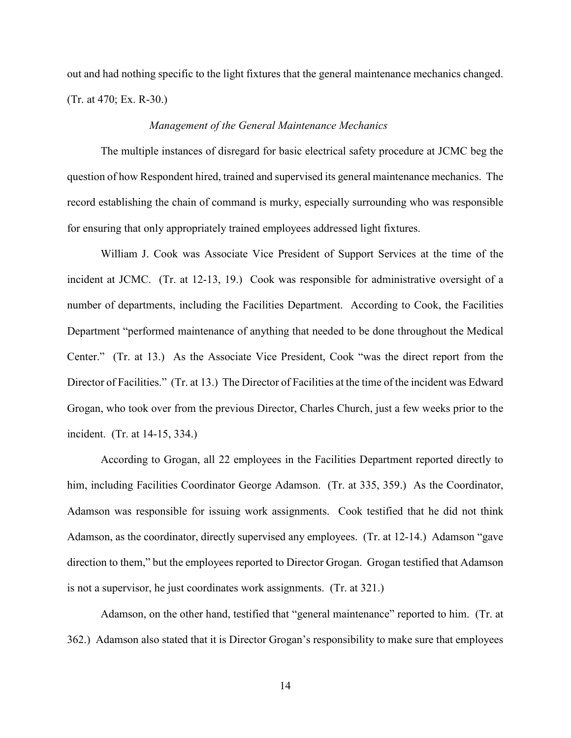out and had nothing specific to the light fixtures that the general maintenance mechanics changed. (Tr. at 470; Ex. R-30.)

## *Management of the General Maintenance Mechanics*

The multiple instances of disregard for basic electrical safety procedure at JCMC beg the question of how Respondent hired, trained and supervised its general maintenance mechanics. The record establishing the chain of command is murky, especially surrounding who was responsible for ensuring that only appropriately trained employees addressed light fixtures.

William J. Cook was Associate Vice President of Support Services at the time of the incident at JCMC. (Tr. at 12-13, 19.) Cook was responsible for administrative oversight of a number of departments, including the Facilities Department. According to Cook, the Facilities Department "performed maintenance of anything that needed to be done throughout the Medical Center." (Tr. at 13.) As the Associate Vice President, Cook "was the direct report from the Director of Facilities." (Tr. at 13.) The Director of Facilities at the time of the incident was Edward Grogan, who took over from the previous Director, Charles Church, just a few weeks prior to the incident. (Tr. at 14-15, 334.)

According to Grogan, all 22 employees in the Facilities Department reported directly to him, including Facilities Coordinator George Adamson. (Tr. at 335, 359.) As the Coordinator, Adamson was responsible for issuing work assignments. Cook testified that he did not think Adamson, as the coordinator, directly supervised any employees. (Tr. at 12-14.) Adamson "gave direction to them," but the employees reported to Director Grogan. Grogan testified that Adamson is not a supervisor, he just coordinates work assignments. (Tr. at 321.)

Adamson, on the other hand, testified that "general maintenance" reported to him. (Tr. at 362.) Adamson also stated that it is Director Grogan's responsibility to make sure that employees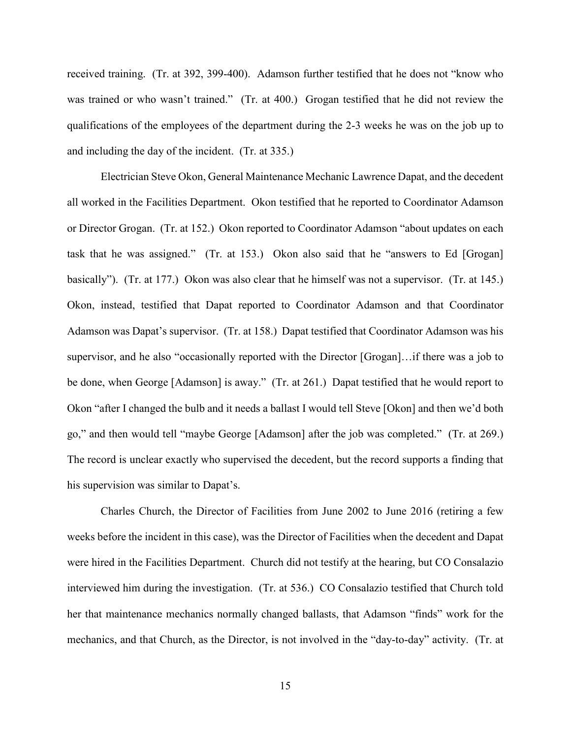received training. (Tr. at 392, 399-400). Adamson further testified that he does not "know who was trained or who wasn't trained." (Tr. at 400.) Grogan testified that he did not review the qualifications of the employees of the department during the 2-3 weeks he was on the job up to and including the day of the incident. (Tr. at 335.)

Electrician Steve Okon, General Maintenance Mechanic Lawrence Dapat, and the decedent all worked in the Facilities Department. Okon testified that he reported to Coordinator Adamson or Director Grogan. (Tr. at 152.) Okon reported to Coordinator Adamson "about updates on each task that he was assigned." (Tr. at 153.) Okon also said that he "answers to Ed [Grogan] basically"). (Tr. at 177.) Okon was also clear that he himself was not a supervisor. (Tr. at 145.) Okon, instead, testified that Dapat reported to Coordinator Adamson and that Coordinator Adamson was Dapat's supervisor. (Tr. at 158.) Dapat testified that Coordinator Adamson was his supervisor, and he also "occasionally reported with the Director [Grogan]…if there was a job to be done, when George [Adamson] is away." (Tr. at 261.) Dapat testified that he would report to Okon "after I changed the bulb and it needs a ballast I would tell Steve [Okon] and then we'd both go," and then would tell "maybe George [Adamson] after the job was completed." (Tr. at 269.) The record is unclear exactly who supervised the decedent, but the record supports a finding that his supervision was similar to Dapat's.

Charles Church, the Director of Facilities from June 2002 to June 2016 (retiring a few weeks before the incident in this case), was the Director of Facilities when the decedent and Dapat were hired in the Facilities Department. Church did not testify at the hearing, but CO Consalazio interviewed him during the investigation. (Tr. at 536.) CO Consalazio testified that Church told her that maintenance mechanics normally changed ballasts, that Adamson "finds" work for the mechanics, and that Church, as the Director, is not involved in the "day-to-day" activity. (Tr. at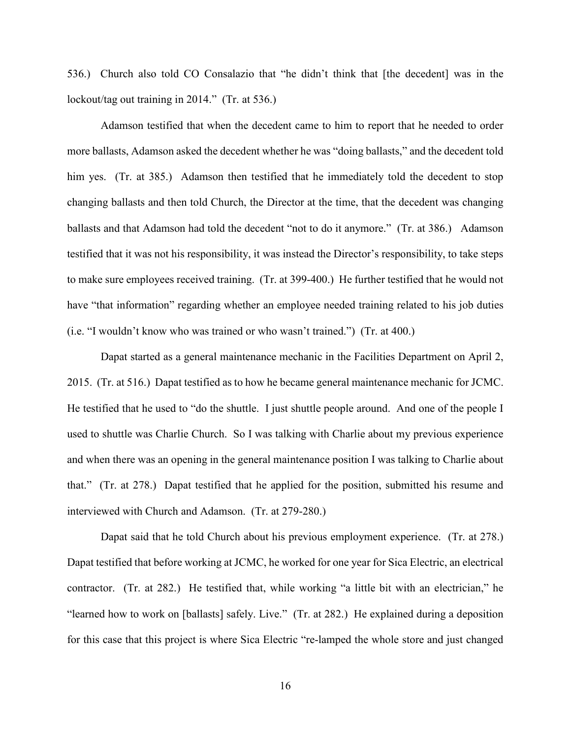536.) Church also told CO Consalazio that "he didn't think that [the decedent] was in the lockout/tag out training in 2014." (Tr. at 536.)

Adamson testified that when the decedent came to him to report that he needed to order more ballasts, Adamson asked the decedent whether he was "doing ballasts," and the decedent told him yes. (Tr. at 385.) Adamson then testified that he immediately told the decedent to stop changing ballasts and then told Church, the Director at the time, that the decedent was changing ballasts and that Adamson had told the decedent "not to do it anymore." (Tr. at 386.) Adamson testified that it was not his responsibility, it was instead the Director's responsibility, to take steps to make sure employees received training. (Tr. at 399-400.) He further testified that he would not have "that information" regarding whether an employee needed training related to his job duties (i.e. "I wouldn't know who was trained or who wasn't trained.") (Tr. at 400.)

Dapat started as a general maintenance mechanic in the Facilities Department on April 2, 2015. (Tr. at 516.) Dapat testified as to how he became general maintenance mechanic for JCMC. He testified that he used to "do the shuttle. I just shuttle people around. And one of the people I used to shuttle was Charlie Church. So I was talking with Charlie about my previous experience and when there was an opening in the general maintenance position I was talking to Charlie about that." (Tr. at 278.) Dapat testified that he applied for the position, submitted his resume and interviewed with Church and Adamson. (Tr. at 279-280.)

Dapat said that he told Church about his previous employment experience. (Tr. at 278.) Dapat testified that before working at JCMC, he worked for one year for Sica Electric, an electrical contractor. (Tr. at 282.) He testified that, while working "a little bit with an electrician," he "learned how to work on [ballasts] safely. Live." (Tr. at 282.) He explained during a deposition for this case that this project is where Sica Electric "re-lamped the whole store and just changed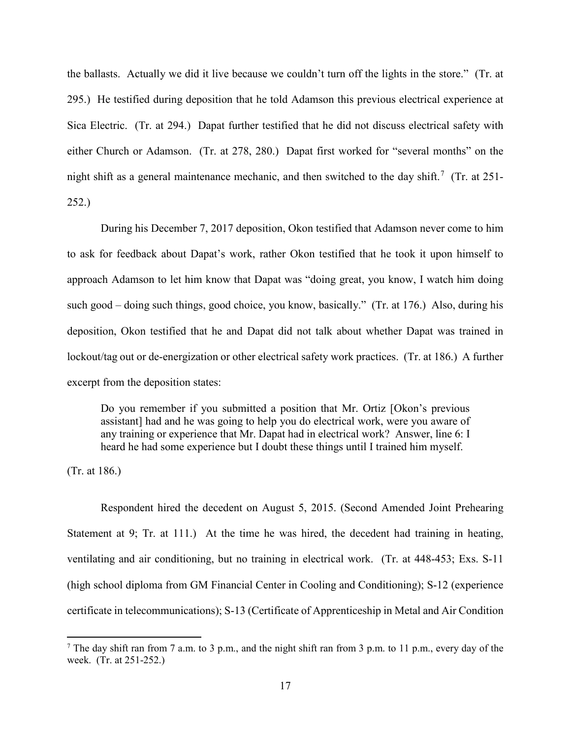the ballasts. Actually we did it live because we couldn't turn off the lights in the store." (Tr. at 295.) He testified during deposition that he told Adamson this previous electrical experience at Sica Electric. (Tr. at 294.) Dapat further testified that he did not discuss electrical safety with either Church or Adamson. (Tr. at 278, 280.) Dapat first worked for "several months" on the night shift as a general maintenance mechanic, and then switched to the day shift.<sup>[7](#page-16-0)</sup> (Tr. at 251-252.)

During his December 7, 2017 deposition, Okon testified that Adamson never come to him to ask for feedback about Dapat's work, rather Okon testified that he took it upon himself to approach Adamson to let him know that Dapat was "doing great, you know, I watch him doing such good – doing such things, good choice, you know, basically." (Tr. at 176.) Also, during his deposition, Okon testified that he and Dapat did not talk about whether Dapat was trained in lockout/tag out or de-energization or other electrical safety work practices. (Tr. at 186.) A further excerpt from the deposition states:

Do you remember if you submitted a position that Mr. Ortiz [Okon's previous assistant] had and he was going to help you do electrical work, were you aware of any training or experience that Mr. Dapat had in electrical work? Answer, line 6: I heard he had some experience but I doubt these things until I trained him myself.

(Tr. at 186.)

Respondent hired the decedent on August 5, 2015. (Second Amended Joint Prehearing Statement at 9; Tr. at 111.) At the time he was hired, the decedent had training in heating, ventilating and air conditioning, but no training in electrical work. (Tr. at 448-453; Exs. S-11 (high school diploma from GM Financial Center in Cooling and Conditioning); S-12 (experience certificate in telecommunications); S-13 (Certificate of Apprenticeship in Metal and Air Condition

<span id="page-16-0"></span><sup>&</sup>lt;sup>7</sup> The day shift ran from 7 a.m. to 3 p.m., and the night shift ran from 3 p.m. to 11 p.m., every day of the week. (Tr. at 251-252.)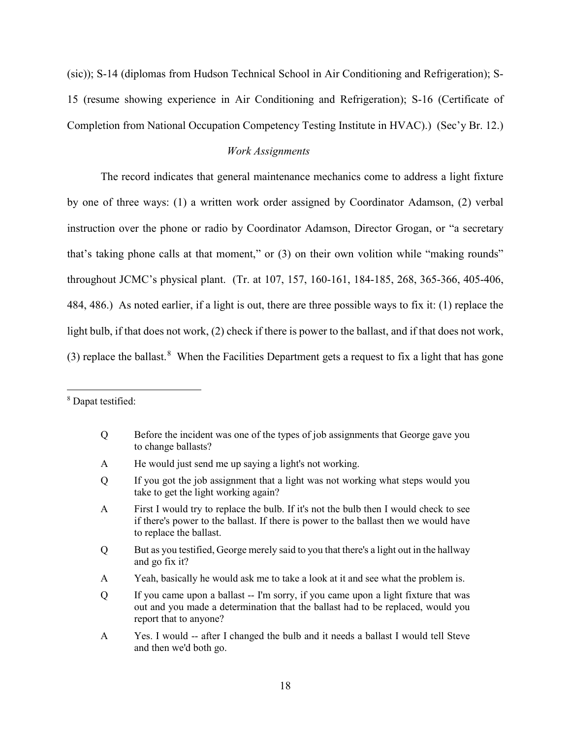(sic)); S-14 (diplomas from Hudson Technical School in Air Conditioning and Refrigeration); S-15 (resume showing experience in Air Conditioning and Refrigeration); S-16 (Certificate of Completion from National Occupation Competency Testing Institute in HVAC).) (Sec'y Br. 12.)

## *Work Assignments*

The record indicates that general maintenance mechanics come to address a light fixture by one of three ways: (1) a written work order assigned by Coordinator Adamson, (2) verbal instruction over the phone or radio by Coordinator Adamson, Director Grogan, or "a secretary that's taking phone calls at that moment," or (3) on their own volition while "making rounds" throughout JCMC's physical plant. (Tr. at 107, 157, 160-161, 184-185, 268, 365-366, 405-406, 484, 486.) As noted earlier, if a light is out, there are three possible ways to fix it: (1) replace the light bulb, if that does not work, (2) check if there is power to the ballast, and if that does not work, (3) replace the ballast.<sup>[8](#page-17-0)</sup> When the Facilities Department gets a request to fix a light that has gone

A He would just send me up saying a light's not working.

- Q But as you testified, George merely said to you that there's a light out in the hallway and go fix it?
- A Yeah, basically he would ask me to take a look at it and see what the problem is.
- Q If you came upon a ballast -- I'm sorry, if you came upon a light fixture that was out and you made a determination that the ballast had to be replaced, would you report that to anyone?
- A Yes. I would -- after I changed the bulb and it needs a ballast I would tell Steve and then we'd both go.

<span id="page-17-0"></span><sup>8</sup> Dapat testified:

Q Before the incident was one of the types of job assignments that George gave you to change ballasts?

Q If you got the job assignment that a light was not working what steps would you take to get the light working again?

A First I would try to replace the bulb. If it's not the bulb then I would check to see if there's power to the ballast. If there is power to the ballast then we would have to replace the ballast.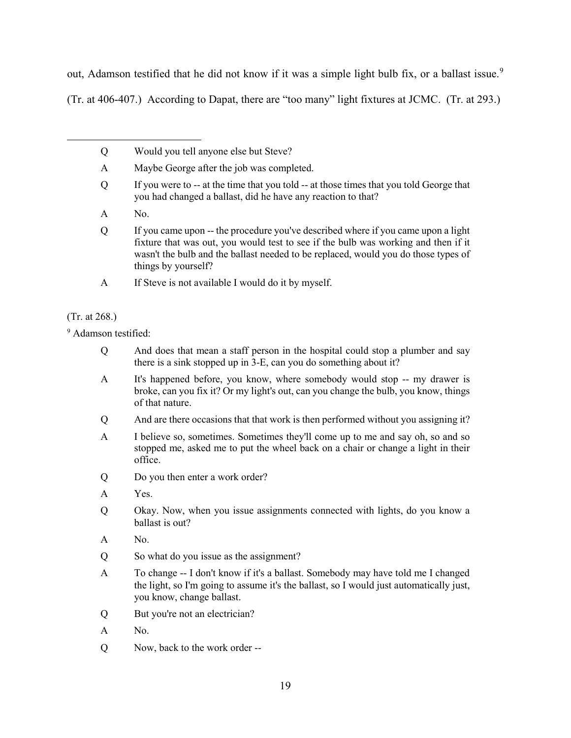out, Adamson testified that he did not know if it was a simple light bulb fix, or a ballast issue.<sup>[9](#page-18-0)</sup>

(Tr. at 406-407.) According to Dapat, there are "too many" light fixtures at JCMC. (Tr. at 293.)

- Q Would you tell anyone else but Steve?
- A Maybe George after the job was completed.
- Q If you were to -- at the time that you told -- at those times that you told George that you had changed a ballast, did he have any reaction to that?
- A No.
- Q If you came upon -- the procedure you've described where if you came upon a light fixture that was out, you would test to see if the bulb was working and then if it wasn't the bulb and the ballast needed to be replaced, would you do those types of things by yourself?
- A If Steve is not available I would do it by myself.

## (Tr. at 268.)

<span id="page-18-0"></span><sup>9</sup> Adamson testified:

- Q And does that mean a staff person in the hospital could stop a plumber and say there is a sink stopped up in 3-E, can you do something about it?
- A It's happened before, you know, where somebody would stop -- my drawer is broke, can you fix it? Or my light's out, can you change the bulb, you know, things of that nature.
- Q And are there occasions that that work is then performed without you assigning it?
- A I believe so, sometimes. Sometimes they'll come up to me and say oh, so and so stopped me, asked me to put the wheel back on a chair or change a light in their office.
- Q Do you then enter a work order?
- A Yes.
- Q Okay. Now, when you issue assignments connected with lights, do you know a ballast is out?
- A No.
- Q So what do you issue as the assignment?
- A To change -- I don't know if it's a ballast. Somebody may have told me I changed the light, so I'm going to assume it's the ballast, so I would just automatically just, you know, change ballast.
- Q But you're not an electrician?
- A No.
- Q Now, back to the work order --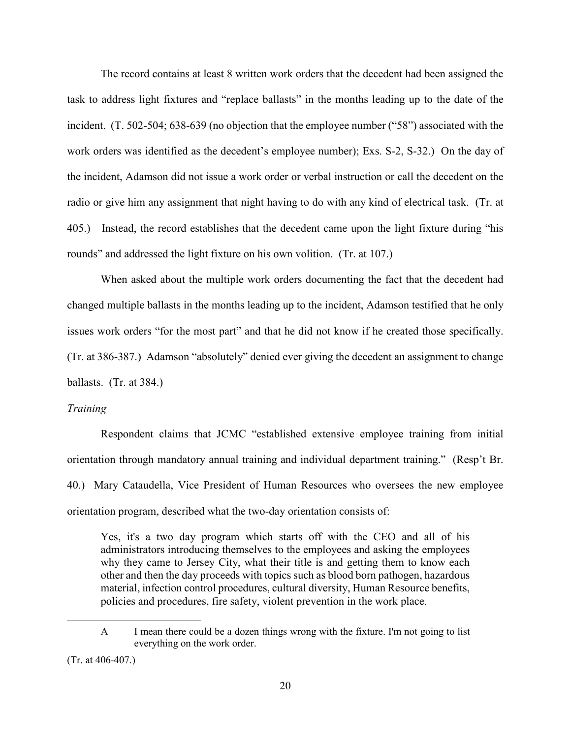The record contains at least 8 written work orders that the decedent had been assigned the task to address light fixtures and "replace ballasts" in the months leading up to the date of the incident. (T. 502-504; 638-639 (no objection that the employee number ("58") associated with the work orders was identified as the decedent's employee number); Exs. S-2, S-32.) On the day of the incident, Adamson did not issue a work order or verbal instruction or call the decedent on the radio or give him any assignment that night having to do with any kind of electrical task. (Tr. at 405.) Instead, the record establishes that the decedent came upon the light fixture during "his rounds" and addressed the light fixture on his own volition. (Tr. at 107.)

When asked about the multiple work orders documenting the fact that the decedent had changed multiple ballasts in the months leading up to the incident, Adamson testified that he only issues work orders "for the most part" and that he did not know if he created those specifically. (Tr. at 386-387.) Adamson "absolutely" denied ever giving the decedent an assignment to change ballasts. (Tr. at 384.)

### *Training*

Respondent claims that JCMC "established extensive employee training from initial orientation through mandatory annual training and individual department training." (Resp't Br. 40.) Mary Cataudella, Vice President of Human Resources who oversees the new employee orientation program, described what the two-day orientation consists of:

Yes, it's a two day program which starts off with the CEO and all of his administrators introducing themselves to the employees and asking the employees why they came to Jersey City, what their title is and getting them to know each other and then the day proceeds with topics such as blood born pathogen, hazardous material, infection control procedures, cultural diversity, Human Resource benefits, policies and procedures, fire safety, violent prevention in the work place.

A I mean there could be a dozen things wrong with the fixture. I'm not going to list everything on the work order.

<sup>(</sup>Tr. at 406-407.)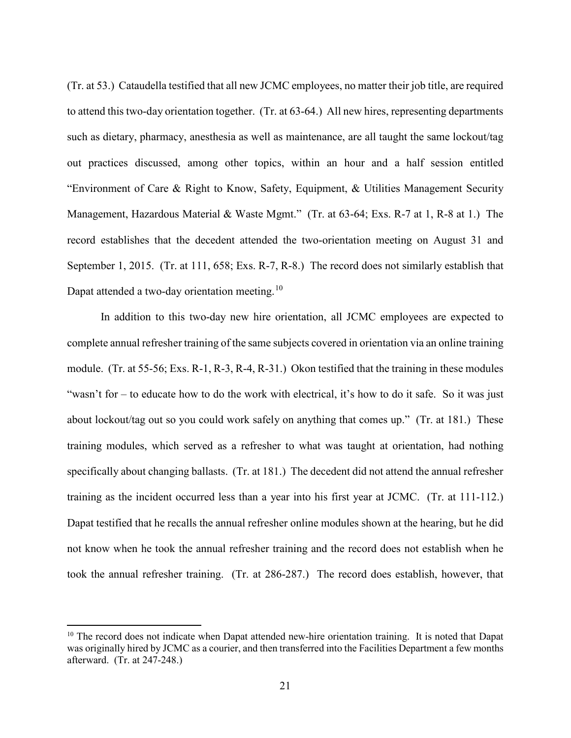(Tr. at 53.) Cataudella testified that all new JCMC employees, no matter their job title, are required to attend this two-day orientation together. (Tr. at 63-64.) All new hires, representing departments such as dietary, pharmacy, anesthesia as well as maintenance, are all taught the same lockout/tag out practices discussed, among other topics, within an hour and a half session entitled "Environment of Care & Right to Know, Safety, Equipment, & Utilities Management Security Management, Hazardous Material & Waste Mgmt." (Tr. at 63-64; Exs. R-7 at 1, R-8 at 1.) The record establishes that the decedent attended the two-orientation meeting on August 31 and September 1, 2015. (Tr. at 111, 658; Exs. R-7, R-8.) The record does not similarly establish that Dapat attended a two-day orientation meeting.<sup>[10](#page-20-0)</sup>

In addition to this two-day new hire orientation, all JCMC employees are expected to complete annual refresher training of the same subjects covered in orientation via an online training module. (Tr. at 55-56; Exs. R-1, R-3, R-4, R-31.) Okon testified that the training in these modules "wasn't for – to educate how to do the work with electrical, it's how to do it safe. So it was just about lockout/tag out so you could work safely on anything that comes up." (Tr. at 181.) These training modules, which served as a refresher to what was taught at orientation, had nothing specifically about changing ballasts. (Tr. at 181.) The decedent did not attend the annual refresher training as the incident occurred less than a year into his first year at JCMC. (Tr. at 111-112.) Dapat testified that he recalls the annual refresher online modules shown at the hearing, but he did not know when he took the annual refresher training and the record does not establish when he took the annual refresher training. (Tr. at 286-287.) The record does establish, however, that

<span id="page-20-0"></span> $10$  The record does not indicate when Dapat attended new-hire orientation training. It is noted that Dapat was originally hired by JCMC as a courier, and then transferred into the Facilities Department a few months afterward. (Tr. at 247-248.)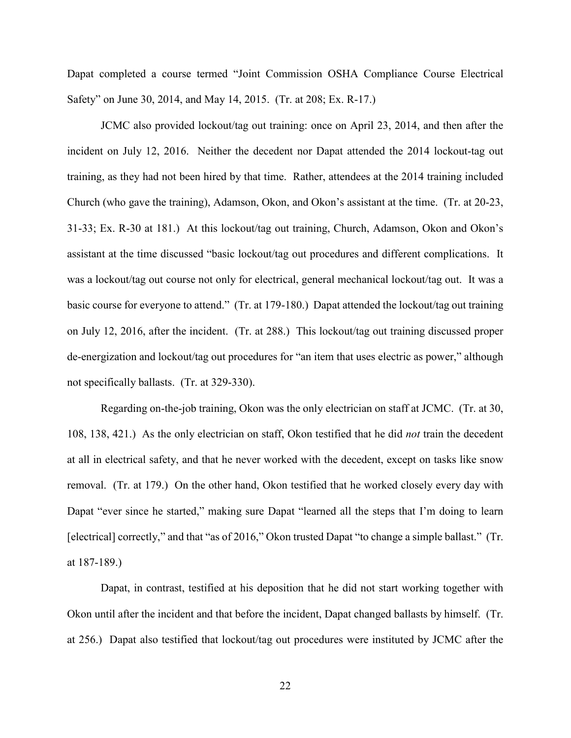Dapat completed a course termed "Joint Commission OSHA Compliance Course Electrical Safety" on June 30, 2014, and May 14, 2015. (Tr. at 208; Ex. R-17.)

JCMC also provided lockout/tag out training: once on April 23, 2014, and then after the incident on July 12, 2016. Neither the decedent nor Dapat attended the 2014 lockout-tag out training, as they had not been hired by that time. Rather, attendees at the 2014 training included Church (who gave the training), Adamson, Okon, and Okon's assistant at the time. (Tr. at 20-23, 31-33; Ex. R-30 at 181.) At this lockout/tag out training, Church, Adamson, Okon and Okon's assistant at the time discussed "basic lockout/tag out procedures and different complications. It was a lockout/tag out course not only for electrical, general mechanical lockout/tag out. It was a basic course for everyone to attend." (Tr. at 179-180.) Dapat attended the lockout/tag out training on July 12, 2016, after the incident. (Tr. at 288.) This lockout/tag out training discussed proper de-energization and lockout/tag out procedures for "an item that uses electric as power," although not specifically ballasts. (Tr. at 329-330).

Regarding on-the-job training, Okon was the only electrician on staff at JCMC. (Tr. at 30, 108, 138, 421.) As the only electrician on staff, Okon testified that he did *not* train the decedent at all in electrical safety, and that he never worked with the decedent, except on tasks like snow removal. (Tr. at 179.) On the other hand, Okon testified that he worked closely every day with Dapat "ever since he started," making sure Dapat "learned all the steps that I'm doing to learn [electrical] correctly," and that "as of 2016," Okon trusted Dapat "to change a simple ballast." (Tr. at 187-189.)

Dapat, in contrast, testified at his deposition that he did not start working together with Okon until after the incident and that before the incident, Dapat changed ballasts by himself. (Tr. at 256.) Dapat also testified that lockout/tag out procedures were instituted by JCMC after the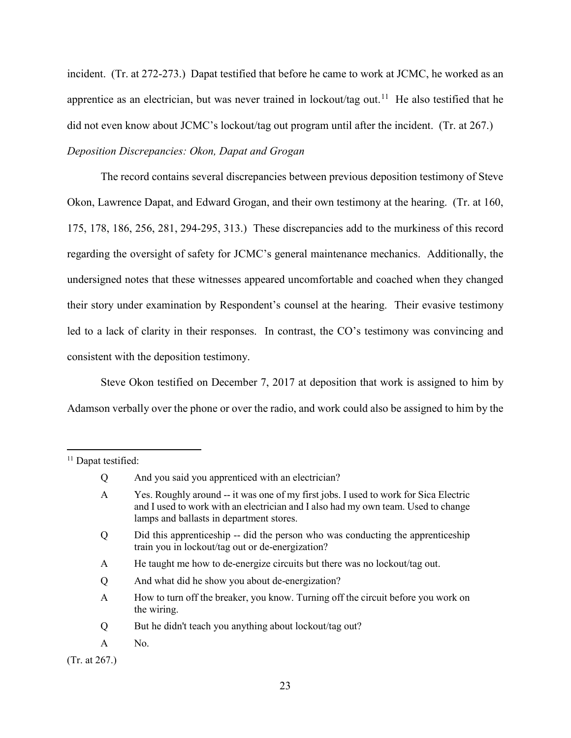incident. (Tr. at 272-273.) Dapat testified that before he came to work at JCMC, he worked as an apprentice as an electrician, but was never trained in lockout/tag out.<sup>[11](#page-22-0)</sup> He also testified that he did not even know about JCMC's lockout/tag out program until after the incident. (Tr. at 267.) *Deposition Discrepancies: Okon, Dapat and Grogan*

 The record contains several discrepancies between previous deposition testimony of Steve Okon, Lawrence Dapat, and Edward Grogan, and their own testimony at the hearing. (Tr. at 160, 175, 178, 186, 256, 281, 294-295, 313.) These discrepancies add to the murkiness of this record regarding the oversight of safety for JCMC's general maintenance mechanics. Additionally, the undersigned notes that these witnesses appeared uncomfortable and coached when they changed their story under examination by Respondent's counsel at the hearing. Their evasive testimony led to a lack of clarity in their responses. In contrast, the CO's testimony was convincing and consistent with the deposition testimony.

Steve Okon testified on December 7, 2017 at deposition that work is assigned to him by Adamson verbally over the phone or over the radio, and work could also be assigned to him by the

(Tr. at 267.)

<span id="page-22-0"></span><sup>&</sup>lt;sup>11</sup> Dapat testified:

Q And you said you apprenticed with an electrician?

A Yes. Roughly around -- it was one of my first jobs. I used to work for Sica Electric and I used to work with an electrician and I also had my own team. Used to change lamps and ballasts in department stores.

Q Did this apprenticeship -- did the person who was conducting the apprenticeship train you in lockout/tag out or de-energization?

A He taught me how to de-energize circuits but there was no lockout/tag out.

Q And what did he show you about de-energization?

A How to turn off the breaker, you know. Turning off the circuit before you work on the wiring.

Q But he didn't teach you anything about lockout/tag out?

A No.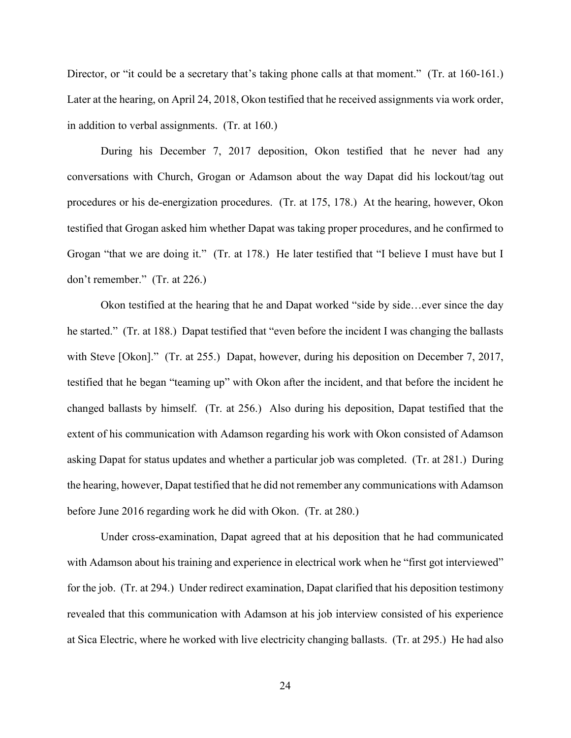Director, or "it could be a secretary that's taking phone calls at that moment." (Tr. at 160-161.) Later at the hearing, on April 24, 2018, Okon testified that he received assignments via work order, in addition to verbal assignments. (Tr. at 160.)

During his December 7, 2017 deposition, Okon testified that he never had any conversations with Church, Grogan or Adamson about the way Dapat did his lockout/tag out procedures or his de-energization procedures. (Tr. at 175, 178.) At the hearing, however, Okon testified that Grogan asked him whether Dapat was taking proper procedures, and he confirmed to Grogan "that we are doing it." (Tr. at 178.) He later testified that "I believe I must have but I don't remember." (Tr. at 226.)

Okon testified at the hearing that he and Dapat worked "side by side...ever since the day he started." (Tr. at 188.) Dapat testified that "even before the incident I was changing the ballasts with Steve [Okon]." (Tr. at 255.) Dapat, however, during his deposition on December 7, 2017, testified that he began "teaming up" with Okon after the incident, and that before the incident he changed ballasts by himself. (Tr. at 256.) Also during his deposition, Dapat testified that the extent of his communication with Adamson regarding his work with Okon consisted of Adamson asking Dapat for status updates and whether a particular job was completed. (Tr. at 281.) During the hearing, however, Dapat testified that he did not remember any communications with Adamson before June 2016 regarding work he did with Okon. (Tr. at 280.)

Under cross-examination, Dapat agreed that at his deposition that he had communicated with Adamson about his training and experience in electrical work when he "first got interviewed" for the job. (Tr. at 294.) Under redirect examination, Dapat clarified that his deposition testimony revealed that this communication with Adamson at his job interview consisted of his experience at Sica Electric, where he worked with live electricity changing ballasts. (Tr. at 295.) He had also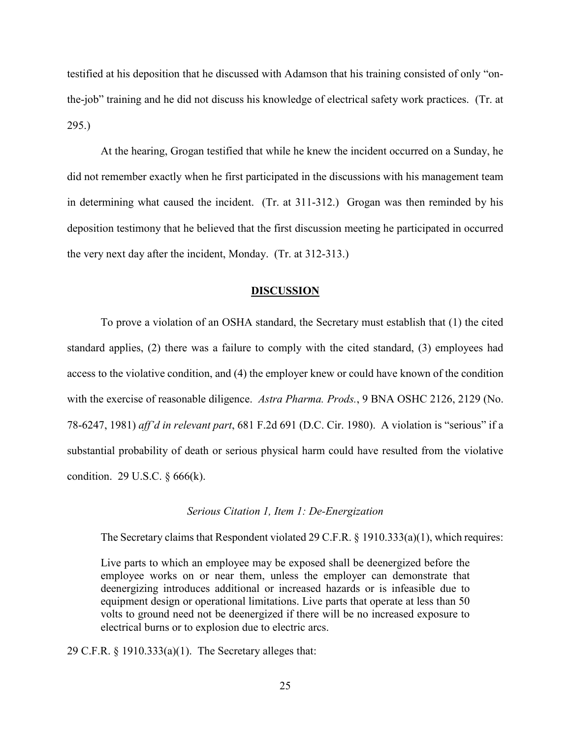testified at his deposition that he discussed with Adamson that his training consisted of only "onthe-job" training and he did not discuss his knowledge of electrical safety work practices. (Tr. at 295.)

At the hearing, Grogan testified that while he knew the incident occurred on a Sunday, he did not remember exactly when he first participated in the discussions with his management team in determining what caused the incident. (Tr. at 311-312.) Grogan was then reminded by his deposition testimony that he believed that the first discussion meeting he participated in occurred the very next day after the incident, Monday. (Tr. at 312-313.)

#### **DISCUSSION**

To prove a violation of an OSHA standard, the Secretary must establish that (1) the cited standard applies, (2) there was a failure to comply with the cited standard, (3) employees had access to the violative condition, and (4) the employer knew or could have known of the condition with the exercise of reasonable diligence. *Astra Pharma. Prods.*, 9 BNA OSHC 2126, 2129 (No. 78-6247, 1981) *aff'd in relevant part*, 681 F.2d 691 (D.C. Cir. 1980). A violation is "serious" if a substantial probability of death or serious physical harm could have resulted from the violative condition. 29 U.S.C. § 666(k).

#### *Serious Citation 1, Item 1: De-Energization*

The Secretary claims that Respondent violated 29 C.F.R. § 1910.333(a)(1), which requires:

Live parts to which an employee may be exposed shall be deenergized before the employee works on or near them, unless the employer can demonstrate that deenergizing introduces additional or increased hazards or is infeasible due to equipment design or operational limitations. Live parts that operate at less than 50 volts to ground need not be deenergized if there will be no increased exposure to electrical burns or to explosion due to electric arcs.

29 C.F.R. § 1910.333(a)(1). The Secretary alleges that: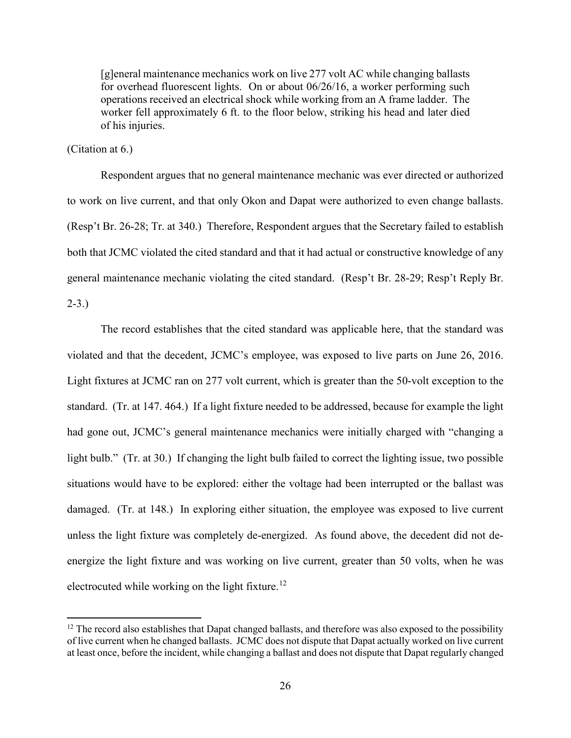[g]eneral maintenance mechanics work on live 277 volt AC while changing ballasts for overhead fluorescent lights. On or about 06/26/16, a worker performing such operations received an electrical shock while working from an A frame ladder. The worker fell approximately 6 ft. to the floor below, striking his head and later died of his injuries.

(Citation at 6.)

Respondent argues that no general maintenance mechanic was ever directed or authorized to work on live current, and that only Okon and Dapat were authorized to even change ballasts. (Resp't Br. 26-28; Tr. at 340.) Therefore, Respondent argues that the Secretary failed to establish both that JCMC violated the cited standard and that it had actual or constructive knowledge of any general maintenance mechanic violating the cited standard. (Resp't Br. 28-29; Resp't Reply Br.  $2 - 3.$ 

The record establishes that the cited standard was applicable here, that the standard was violated and that the decedent, JCMC's employee, was exposed to live parts on June 26, 2016. Light fixtures at JCMC ran on 277 volt current, which is greater than the 50-volt exception to the standard. (Tr. at 147. 464.) If a light fixture needed to be addressed, because for example the light had gone out, JCMC's general maintenance mechanics were initially charged with "changing a light bulb." (Tr. at 30.) If changing the light bulb failed to correct the lighting issue, two possible situations would have to be explored: either the voltage had been interrupted or the ballast was damaged. (Tr. at 148.) In exploring either situation, the employee was exposed to live current unless the light fixture was completely de-energized. As found above, the decedent did not deenergize the light fixture and was working on live current, greater than 50 volts, when he was electrocuted while working on the light fixture.<sup>12</sup>

<span id="page-25-0"></span> $12$  The record also establishes that Dapat changed ballasts, and therefore was also exposed to the possibility of live current when he changed ballasts. JCMC does not dispute that Dapat actually worked on live current at least once, before the incident, while changing a ballast and does not dispute that Dapat regularly changed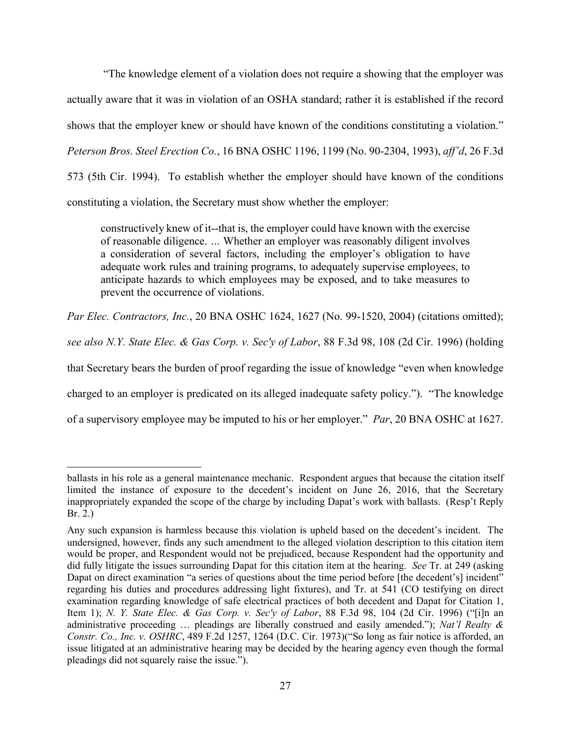"The knowledge element of a violation does not require a showing that the employer was actually aware that it was in violation of an OSHA standard; rather it is established if the record shows that the employer knew or should have known of the conditions constituting a violation." *Peterson Bros. Steel Erection Co.*, 16 BNA OSHC 1196, 1199 (No. 90-2304, 1993), *aff'd*, 26 F.3d 573 (5th Cir. 1994). To establish whether the employer should have known of the conditions constituting a violation, the Secretary must show whether the employer:

constructively knew of it--that is, the employer could have known with the exercise of reasonable diligence. *…* Whether an employer was reasonably diligent involves a consideration of several factors, including the employer's obligation to have adequate work rules and training programs, to adequately supervise employees, to anticipate hazards to which employees may be exposed, and to take measures to prevent the occurrence of violations.

*Par Elec. Contractors, Inc.*, 20 BNA OSHC 1624, 1627 (No. 99-1520, 2004) (citations omitted);

*see also N.Y. State Elec. & Gas Corp. v. Sec'y of Labor*, 88 F.3d 98, 108 (2d Cir. 1996) (holding

that Secretary bears the burden of proof regarding the issue of knowledge "even when knowledge

charged to an employer is predicated on its alleged inadequate safety policy."). "The knowledge

of a supervisory employee may be imputed to his or her employer." *Par*, 20 BNA OSHC at 1627.

ballasts in his role as a general maintenance mechanic. Respondent argues that because the citation itself limited the instance of exposure to the decedent's incident on June 26, 2016, that the Secretary inappropriately expanded the scope of the charge by including Dapat's work with ballasts. (Resp't Reply Br. 2.)

Any such expansion is harmless because this violation is upheld based on the decedent's incident. The undersigned, however, finds any such amendment to the alleged violation description to this citation item would be proper, and Respondent would not be prejudiced, because Respondent had the opportunity and did fully litigate the issues surrounding Dapat for this citation item at the hearing. *See* Tr. at 249 (asking Dapat on direct examination "a series of questions about the time period before [the decedent's] incident" regarding his duties and procedures addressing light fixtures), and Tr. at 541 (CO testifying on direct examination regarding knowledge of safe electrical practices of both decedent and Dapat for Citation 1, Item 1); *N. Y. State Elec. & Gas Corp. v. Sec'y of Labor*, 88 F.3d 98, 104 (2d Cir. 1996) ("[i]n an administrative proceeding … pleadings are liberally construed and easily amended."); *Nat'l Realty & Constr. Co., Inc. v. OSHRC*, 489 F.2d 1257, 1264 (D.C. Cir. 1973)("So long as fair notice is afforded, an issue litigated at an administrative hearing may be decided by the hearing agency even though the formal pleadings did not squarely raise the issue.").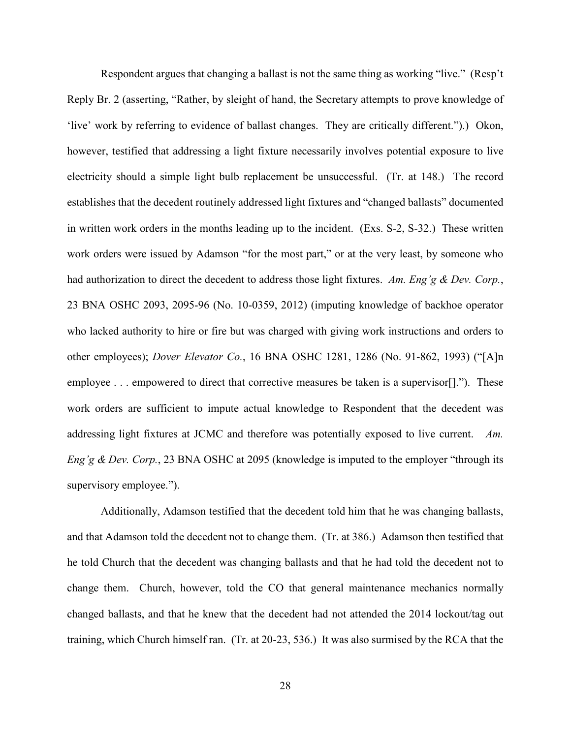Respondent argues that changing a ballast is not the same thing as working "live." (Resp't Reply Br. 2 (asserting, "Rather, by sleight of hand, the Secretary attempts to prove knowledge of 'live' work by referring to evidence of ballast changes. They are critically different.").) Okon, however, testified that addressing a light fixture necessarily involves potential exposure to live electricity should a simple light bulb replacement be unsuccessful. (Tr. at 148.) The record establishes that the decedent routinely addressed light fixtures and "changed ballasts" documented in written work orders in the months leading up to the incident. (Exs. S-2, S-32.) These written work orders were issued by Adamson "for the most part," or at the very least, by someone who had authorization to direct the decedent to address those light fixtures. *Am. Eng'g & Dev. Corp.*, 23 BNA OSHC 2093, 2095-96 (No. 10-0359, 2012) (imputing knowledge of backhoe operator who lacked authority to hire or fire but was charged with giving work instructions and orders to other employees); *Dover Elevator Co.*, 16 BNA OSHC 1281, 1286 (No. 91-862, 1993) ("[A]n employee . . . empowered to direct that corrective measures be taken is a supervisor[]."). These work orders are sufficient to impute actual knowledge to Respondent that the decedent was addressing light fixtures at JCMC and therefore was potentially exposed to live current. *Am. Eng'g & Dev. Corp.*, 23 BNA OSHC at 2095 (knowledge is imputed to the employer "through its supervisory employee.").

Additionally, Adamson testified that the decedent told him that he was changing ballasts, and that Adamson told the decedent not to change them. (Tr. at 386.) Adamson then testified that he told Church that the decedent was changing ballasts and that he had told the decedent not to change them. Church, however, told the CO that general maintenance mechanics normally changed ballasts, and that he knew that the decedent had not attended the 2014 lockout/tag out training, which Church himself ran. (Tr. at 20-23, 536.) It was also surmised by the RCA that the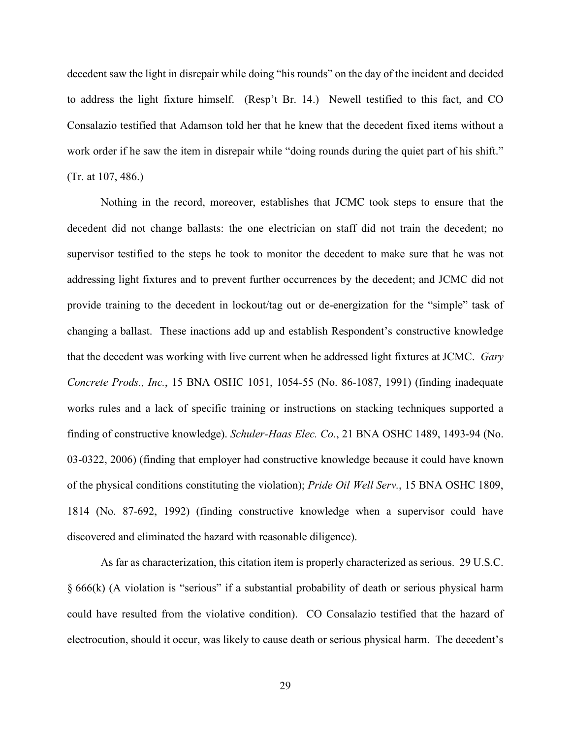decedent saw the light in disrepair while doing "his rounds" on the day of the incident and decided to address the light fixture himself. (Resp't Br. 14.) Newell testified to this fact, and CO Consalazio testified that Adamson told her that he knew that the decedent fixed items without a work order if he saw the item in disrepair while "doing rounds during the quiet part of his shift." (Tr. at 107, 486.)

Nothing in the record, moreover, establishes that JCMC took steps to ensure that the decedent did not change ballasts: the one electrician on staff did not train the decedent; no supervisor testified to the steps he took to monitor the decedent to make sure that he was not addressing light fixtures and to prevent further occurrences by the decedent; and JCMC did not provide training to the decedent in lockout/tag out or de-energization for the "simple" task of changing a ballast. These inactions add up and establish Respondent's constructive knowledge that the decedent was working with live current when he addressed light fixtures at JCMC. *Gary Concrete Prods., Inc.*, 15 BNA OSHC 1051, 1054-55 (No. 86-1087, 1991) (finding inadequate works rules and a lack of specific training or instructions on stacking techniques supported a finding of constructive knowledge). *Schuler-Haas Elec. Co.*, 21 BNA OSHC 1489, 1493-94 (No. 03-0322, 2006) (finding that employer had constructive knowledge because it could have known of the physical conditions constituting the violation); *Pride Oil Well Serv.*, 15 BNA OSHC 1809, 1814 (No. 87-692, 1992) (finding constructive knowledge when a supervisor could have discovered and eliminated the hazard with reasonable diligence).

As far as characterization, this citation item is properly characterized as serious. 29 U.S.C. § 666(k) (A violation is "serious" if a substantial probability of death or serious physical harm could have resulted from the violative condition). CO Consalazio testified that the hazard of electrocution, should it occur, was likely to cause death or serious physical harm. The decedent's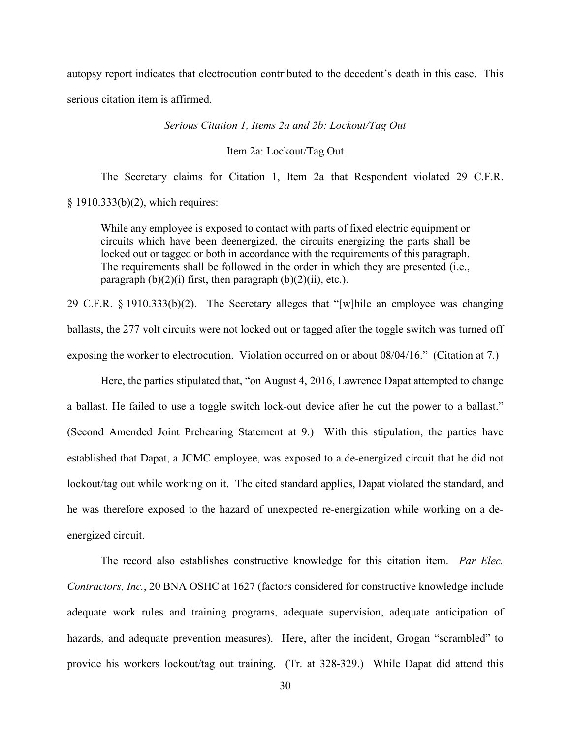autopsy report indicates that electrocution contributed to the decedent's death in this case. This serious citation item is affirmed.

*Serious Citation 1, Items 2a and 2b: Lockout/Tag Out* 

Item 2a: Lockout/Tag Out

The Secretary claims for Citation 1, Item 2a that Respondent violated 29 C.F.R. § 1910.333(b)(2), which requires:

While any employee is exposed to contact with parts of fixed electric equipment or circuits which have been deenergized, the circuits energizing the parts shall be locked out or tagged or both in accordance with the requirements of this paragraph. The requirements shall be followed in the order in which they are presented (i.e., paragraph  $(b)(2)(i)$  first, then paragraph  $(b)(2)(ii)$ , etc.).

29 C.F.R. § 1910.333(b)(2). The Secretary alleges that "[w]hile an employee was changing ballasts, the 277 volt circuits were not locked out or tagged after the toggle switch was turned off exposing the worker to electrocution. Violation occurred on or about 08/04/16." (Citation at 7.)

Here, the parties stipulated that, "on August 4, 2016, Lawrence Dapat attempted to change a ballast. He failed to use a toggle switch lock-out device after he cut the power to a ballast." (Second Amended Joint Prehearing Statement at 9.) With this stipulation, the parties have established that Dapat, a JCMC employee, was exposed to a de-energized circuit that he did not lockout/tag out while working on it. The cited standard applies, Dapat violated the standard, and he was therefore exposed to the hazard of unexpected re-energization while working on a deenergized circuit.

The record also establishes constructive knowledge for this citation item. *Par Elec. Contractors, Inc.*, 20 BNA OSHC at 1627 (factors considered for constructive knowledge include adequate work rules and training programs, adequate supervision, adequate anticipation of hazards, and adequate prevention measures). Here, after the incident, Grogan "scrambled" to provide his workers lockout/tag out training. (Tr. at 328-329.) While Dapat did attend this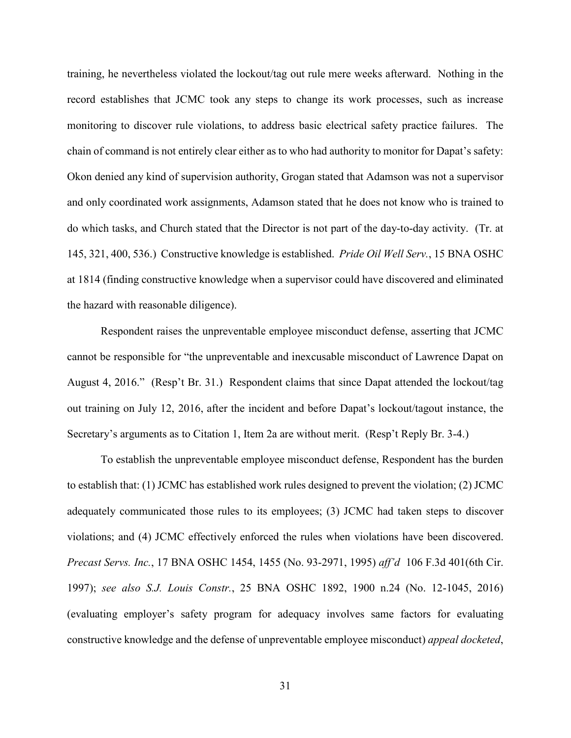training, he nevertheless violated the lockout/tag out rule mere weeks afterward. Nothing in the record establishes that JCMC took any steps to change its work processes, such as increase monitoring to discover rule violations, to address basic electrical safety practice failures. The chain of command is not entirely clear either as to who had authority to monitor for Dapat's safety: Okon denied any kind of supervision authority, Grogan stated that Adamson was not a supervisor and only coordinated work assignments, Adamson stated that he does not know who is trained to do which tasks, and Church stated that the Director is not part of the day-to-day activity. (Tr. at 145, 321, 400, 536.) Constructive knowledge is established. *Pride Oil Well Serv.*, 15 BNA OSHC at 1814 (finding constructive knowledge when a supervisor could have discovered and eliminated the hazard with reasonable diligence).

Respondent raises the unpreventable employee misconduct defense, asserting that JCMC cannot be responsible for "the unpreventable and inexcusable misconduct of Lawrence Dapat on August 4, 2016." (Resp't Br. 31.) Respondent claims that since Dapat attended the lockout/tag out training on July 12, 2016, after the incident and before Dapat's lockout/tagout instance, the Secretary's arguments as to Citation 1, Item 2a are without merit. (Resp't Reply Br. 3-4.)

To establish the unpreventable employee misconduct defense, Respondent has the burden to establish that: (1) JCMC has established work rules designed to prevent the violation; (2) JCMC adequately communicated those rules to its employees; (3) JCMC had taken steps to discover violations; and (4) JCMC effectively enforced the rules when violations have been discovered. *Precast Servs. Inc.*, 17 BNA OSHC 1454, 1455 (No. 93-2971, 1995) *aff'd* 106 F.3d 401(6th Cir. 1997); *see also S.J. Louis Constr.*, 25 BNA OSHC 1892, 1900 n.24 (No. 12-1045, 2016) (evaluating employer's safety program for adequacy involves same factors for evaluating constructive knowledge and the defense of unpreventable employee misconduct) *appeal docketed*,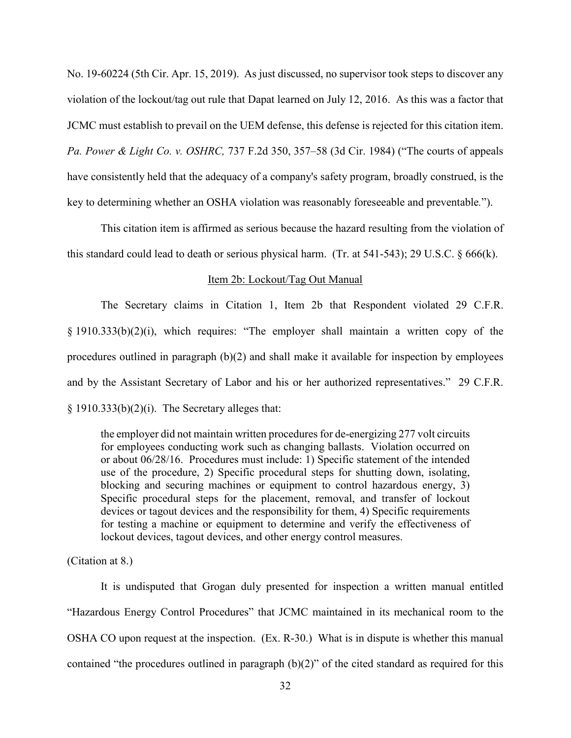No. 19-60224 (5th Cir. Apr. 15, 2019). As just discussed, no supervisor took steps to discover any violation of the lockout/tag out rule that Dapat learned on July 12, 2016. As this was a factor that JCMC must establish to prevail on the UEM defense, this defense is rejected for this citation item. *Pa. Power & Light Co. v. OSHRC,* 737 F.2d 350, 357–58 (3d Cir. 1984) ("The courts of appeals have consistently held that the adequacy of a company's safety program, broadly construed, is the key to determining whether an OSHA violation was reasonably foreseeable and preventable*.*").

This citation item is affirmed as serious because the hazard resulting from the violation of this standard could lead to death or serious physical harm. (Tr. at 541-543); 29 U.S.C. § 666(k).

### Item 2b: Lockout/Tag Out Manual

The Secretary claims in Citation 1, Item 2b that Respondent violated 29 C.F.R. § 1910.333(b)(2)(i), which requires: "The employer shall maintain a written copy of the procedures outlined in paragraph (b)(2) and shall make it available for inspection by employees and by the Assistant Secretary of Labor and his or her authorized representatives." 29 C.F.R.  $§$  1910.333(b)(2)(i). The Secretary alleges that:

the employer did not maintain written procedures for de-energizing 277 volt circuits for employees conducting work such as changing ballasts. Violation occurred on or about 06/28/16. Procedures must include: 1) Specific statement of the intended use of the procedure, 2) Specific procedural steps for shutting down, isolating, blocking and securing machines or equipment to control hazardous energy, 3) Specific procedural steps for the placement, removal, and transfer of lockout devices or tagout devices and the responsibility for them, 4) Specific requirements for testing a machine or equipment to determine and verify the effectiveness of lockout devices, tagout devices, and other energy control measures.

(Citation at 8.)

It is undisputed that Grogan duly presented for inspection a written manual entitled "Hazardous Energy Control Procedures" that JCMC maintained in its mechanical room to the OSHA CO upon request at the inspection. (Ex. R-30.) What is in dispute is whether this manual contained "the procedures outlined in paragraph (b)(2)" of the cited standard as required for this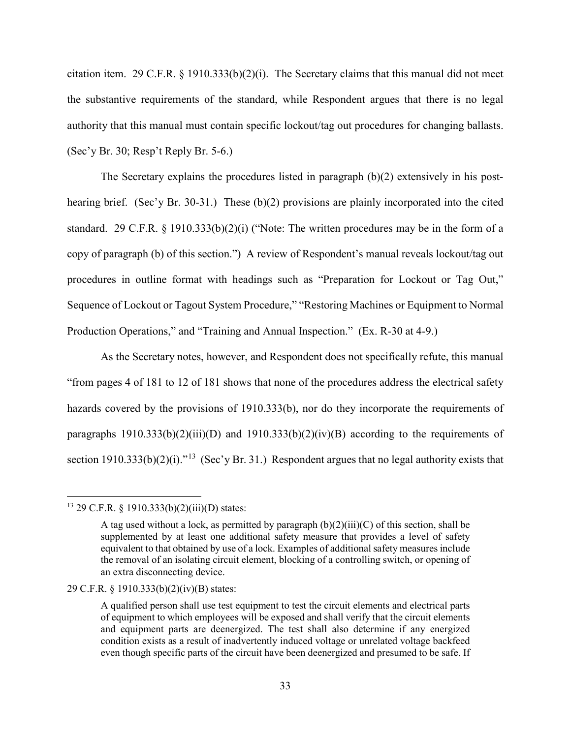citation item. 29 C.F.R. § 1910.333(b)(2)(i). The Secretary claims that this manual did not meet the substantive requirements of the standard, while Respondent argues that there is no legal authority that this manual must contain specific lockout/tag out procedures for changing ballasts. (Sec'y Br. 30; Resp't Reply Br. 5-6.)

The Secretary explains the procedures listed in paragraph (b)(2) extensively in his posthearing brief. (Sec'y Br. 30-31.) These (b)(2) provisions are plainly incorporated into the cited standard. 29 C.F.R. § 1910.333(b)(2)(i) ("Note: The written procedures may be in the form of a copy of paragraph (b) of this section.") A review of Respondent's manual reveals lockout/tag out procedures in outline format with headings such as "Preparation for Lockout or Tag Out," Sequence of Lockout or Tagout System Procedure," "Restoring Machines or Equipment to Normal Production Operations," and "Training and Annual Inspection." (Ex. R-30 at 4-9.)

As the Secretary notes, however, and Respondent does not specifically refute, this manual "from pages 4 of 181 to 12 of 181 shows that none of the procedures address the electrical safety hazards covered by the provisions of 1910.333(b), nor do they incorporate the requirements of paragraphs  $1910.333(b)(2)(iii)(D)$  and  $1910.333(b)(2)(iv)(B)$  according to the requirements of section 1910.333(b)(2)(i).<sup> $13$ </sup> (Sec'y Br. 31.) Respondent argues that no legal authority exists that

<span id="page-32-0"></span><sup>13 29</sup> C.F.R. § 1910.333(b)(2)(iii)(D) states:

A tag used without a lock, as permitted by paragraph  $(b)(2)(iii)(C)$  of this section, shall be supplemented by at least one additional safety measure that provides a level of safety equivalent to that obtained by use of a lock. Examples of additional safety measures include the removal of an isolating circuit element, blocking of a controlling switch, or opening of an extra disconnecting device.

<sup>29</sup> C.F.R. § 1910.333(b)(2)(iv)(B) states:

A qualified person shall use test equipment to test the circuit elements and electrical parts of equipment to which employees will be exposed and shall verify that the circuit elements and equipment parts are deenergized. The test shall also determine if any energized condition exists as a result of inadvertently induced voltage or unrelated voltage backfeed even though specific parts of the circuit have been deenergized and presumed to be safe. If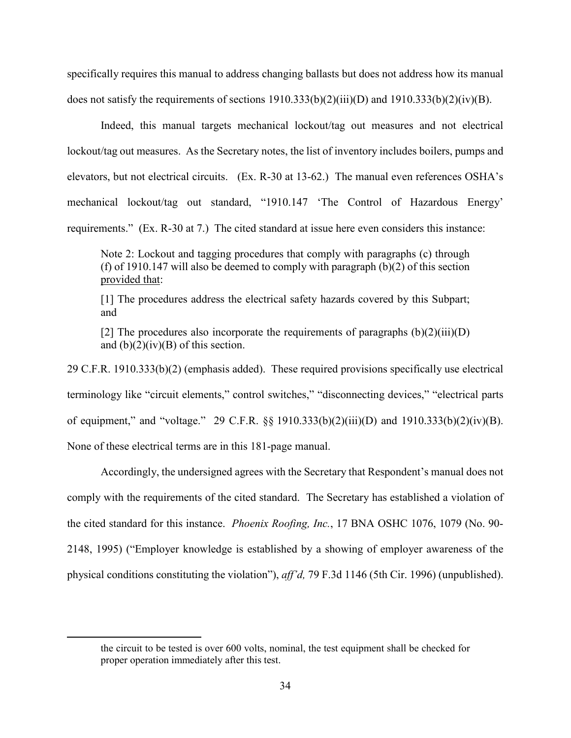specifically requires this manual to address changing ballasts but does not address how its manual does not satisfy the requirements of sections 1910.333(b)(2)(iii)(D) and 1910.333(b)(2)(iv)(B).

Indeed, this manual targets mechanical lockout/tag out measures and not electrical lockout/tag out measures. As the Secretary notes, the list of inventory includes boilers, pumps and elevators, but not electrical circuits. (Ex. R-30 at 13-62.) The manual even references OSHA's mechanical lockout/tag out standard, "1910.147 'The Control of Hazardous Energy' requirements." (Ex. R-30 at 7.) The cited standard at issue here even considers this instance:

Note 2: Lockout and tagging procedures that comply with paragraphs (c) through (f) of 1910.147 will also be deemed to comply with paragraph (b)(2) of this section provided that:

[1] The procedures address the electrical safety hazards covered by this Subpart; and

[2] The procedures also incorporate the requirements of paragraphs  $(b)(2)(iii)(D)$ and  $(b)(2)(iv)(B)$  of this section.

29 C.F.R. 1910.333(b)(2) (emphasis added). These required provisions specifically use electrical terminology like "circuit elements," control switches," "disconnecting devices," "electrical parts of equipment," and "voltage." 29 C.F.R. §§ 1910.333(b)(2)(iii)(D) and 1910.333(b)(2)(iv)(B). None of these electrical terms are in this 181-page manual.

Accordingly, the undersigned agrees with the Secretary that Respondent's manual does not comply with the requirements of the cited standard. The Secretary has established a violation of the cited standard for this instance. *Phoenix Roofing, Inc.*, 17 BNA OSHC 1076, 1079 (No. 90- 2148, 1995) ("Employer knowledge is established by a showing of employer awareness of the physical conditions constituting the violation"), *aff'd,* 79 F.3d 1146 (5th Cir. 1996) (unpublished).

the circuit to be tested is over 600 volts, nominal, the test equipment shall be checked for proper operation immediately after this test.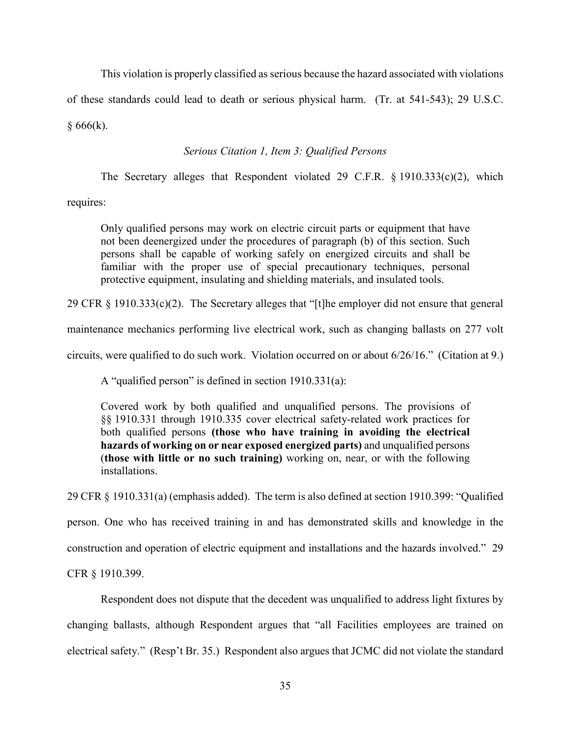This violation is properly classified as serious because the hazard associated with violations

of these standards could lead to death or serious physical harm. (Tr. at 541-543); 29 U.S.C.

 $§ 666(k).$ 

## *Serious Citation 1, Item 3: Qualified Persons*

The Secretary alleges that Respondent violated 29 C.F.R. § 1910.333(c)(2), which

requires:

Only qualified persons may work on electric circuit parts or equipment that have not been deenergized under the procedures of paragraph (b) of this section. Such persons shall be capable of working safely on energized circuits and shall be familiar with the proper use of special precautionary techniques, personal protective equipment, insulating and shielding materials, and insulated tools.

29 CFR § 1910.333(c)(2). The Secretary alleges that "[t]he employer did not ensure that general

maintenance mechanics performing live electrical work, such as changing ballasts on 277 volt

circuits, were qualified to do such work. Violation occurred on or about 6/26/16." (Citation at 9.)

A "qualified person" is defined in section 1910.331(a):

Covered work by both qualified and unqualified persons. The provisions of §§ 1910.331 through 1910.335 cover electrical safety-related work practices for both qualified persons **(those who have training in avoiding the electrical hazards of working on or near exposed energized parts)** and unqualified persons (**those with little or no such training)** working on, near, or with the following installations.

29 CFR § 1910.331(a) (emphasis added). The term is also defined at section 1910.399: "Qualified

person. One who has received training in and has demonstrated skills and knowledge in the

construction and operation of electric equipment and installations and the hazards involved." 29

CFR § 1910.399.

 Respondent does not dispute that the decedent was unqualified to address light fixtures by changing ballasts, although Respondent argues that "all Facilities employees are trained on electrical safety." (Resp't Br. 35.) Respondent also argues that JCMC did not violate the standard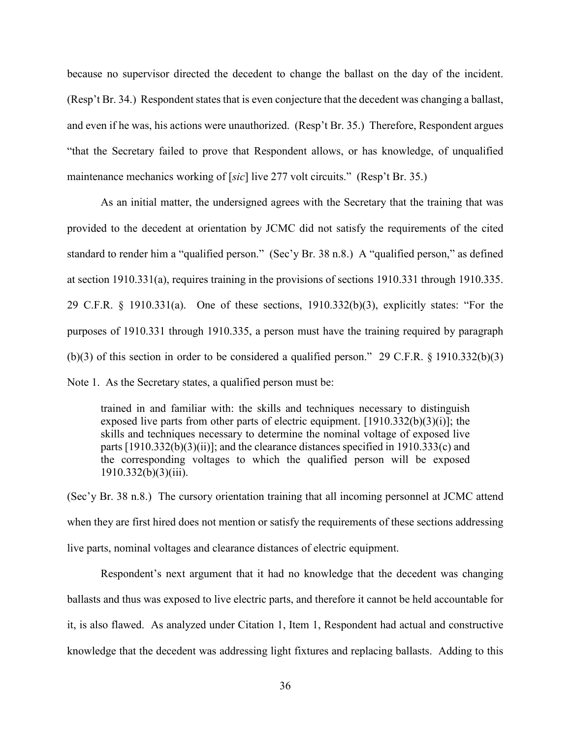because no supervisor directed the decedent to change the ballast on the day of the incident. (Resp't Br. 34.) Respondent states that is even conjecture that the decedent was changing a ballast, and even if he was, his actions were unauthorized. (Resp't Br. 35.) Therefore, Respondent argues "that the Secretary failed to prove that Respondent allows, or has knowledge, of unqualified maintenance mechanics working of [*sic*] live 277 volt circuits." (Resp't Br. 35.)

As an initial matter, the undersigned agrees with the Secretary that the training that was provided to the decedent at orientation by JCMC did not satisfy the requirements of the cited standard to render him a "qualified person." (Sec'y Br. 38 n.8.) A "qualified person," as defined at section 1910.331(a), requires training in the provisions of sections 1910.331 through 1910.335. 29 C.F.R. § 1910.331(a). One of these sections, 1910.332(b)(3), explicitly states: "For the purposes of 1910.331 through 1910.335, a person must have the training required by paragraph (b)(3) of this section in order to be considered a qualified person." 29 C.F.R. § 1910.332(b)(3) Note 1. As the Secretary states, a qualified person must be:

trained in and familiar with: the skills and techniques necessary to distinguish exposed live parts from other parts of electric equipment.  $[1910.332(b)(3)(i)]$ ; the skills and techniques necessary to determine the nominal voltage of exposed live parts  $[1910.332(b)(3)(ii)]$ ; and the clearance distances specified in 1910.333(c) and the corresponding voltages to which the qualified person will be exposed  $1910.332(b)(3)(iii)$ .

(Sec'y Br. 38 n.8.) The cursory orientation training that all incoming personnel at JCMC attend when they are first hired does not mention or satisfy the requirements of these sections addressing live parts, nominal voltages and clearance distances of electric equipment.

Respondent's next argument that it had no knowledge that the decedent was changing ballasts and thus was exposed to live electric parts, and therefore it cannot be held accountable for it, is also flawed. As analyzed under Citation 1, Item 1, Respondent had actual and constructive knowledge that the decedent was addressing light fixtures and replacing ballasts. Adding to this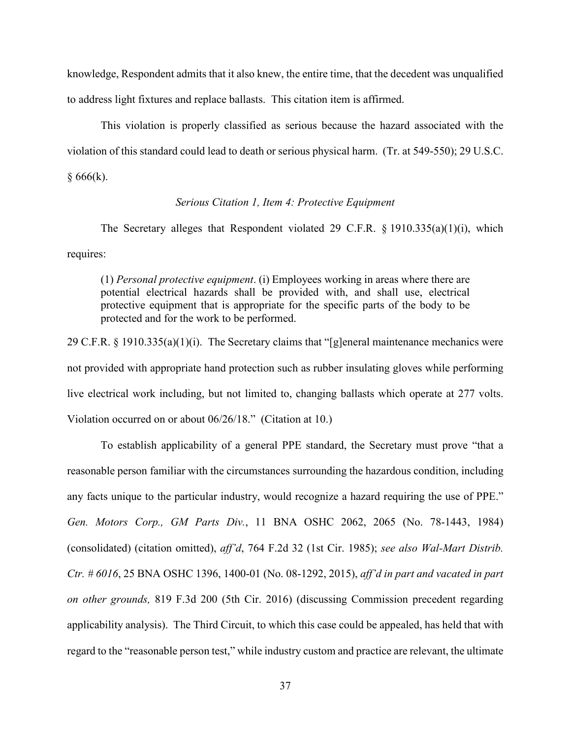knowledge, Respondent admits that it also knew, the entire time, that the decedent was unqualified to address light fixtures and replace ballasts. This citation item is affirmed.

This violation is properly classified as serious because the hazard associated with the violation of this standard could lead to death or serious physical harm. (Tr. at 549-550); 29 U.S.C.  $§ 666(k).$ 

## *Serious Citation 1, Item 4: Protective Equipment*

The Secretary alleges that Respondent violated 29 C.F.R. § 1910.335(a)(1)(i), which requires:

(1) *Personal protective equipment*. (i) Employees working in areas where there are potential electrical hazards shall be provided with, and shall use, electrical protective equipment that is appropriate for the specific parts of the body to be protected and for the work to be performed.

29 C.F.R. § 1910.335(a)(1)(i). The Secretary claims that "[g]eneral maintenance mechanics were not provided with appropriate hand protection such as rubber insulating gloves while performing live electrical work including, but not limited to, changing ballasts which operate at 277 volts. Violation occurred on or about 06/26/18." (Citation at 10.)

To establish applicability of a general PPE standard, the Secretary must prove "that a reasonable person familiar with the circumstances surrounding the hazardous condition, including any facts unique to the particular industry, would recognize a hazard requiring the use of PPE." *Gen. Motors Corp., GM Parts Div.*, 11 BNA OSHC 2062, 2065 (No. 78-1443, 1984) (consolidated) (citation omitted), *aff'd*, 764 F.2d 32 (1st Cir. 1985); *see also Wal-Mart Distrib. Ctr. # 6016*, 25 BNA OSHC 1396, 1400-01 (No. 08-1292, 2015), *aff'd in part and vacated in part on other grounds,* 819 F.3d 200 (5th Cir. 2016) (discussing Commission precedent regarding applicability analysis). The Third Circuit, to which this case could be appealed, has held that with regard to the "reasonable person test," while industry custom and practice are relevant, the ultimate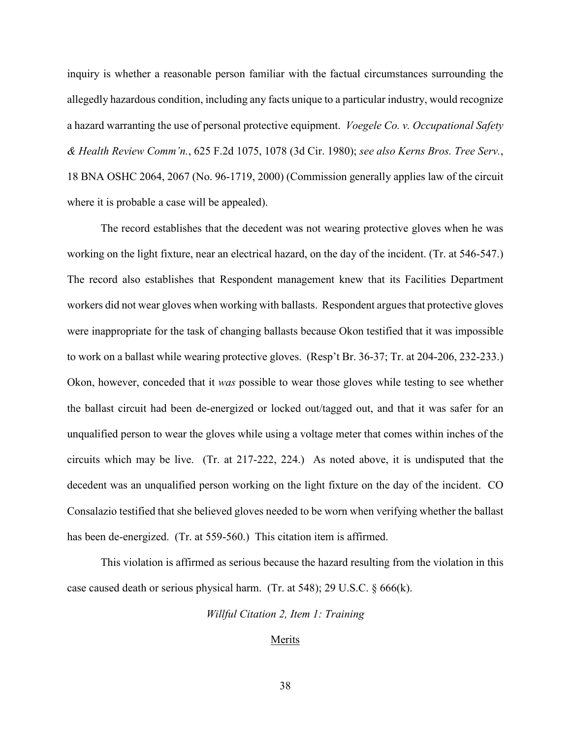inquiry is whether a reasonable person familiar with the factual circumstances surrounding the allegedly hazardous condition, including any facts unique to a particular industry, would recognize a hazard warranting the use of personal protective equipment. *Voegele Co. v. Occupational Safety & Health Review Comm'n.*, 625 F.2d 1075, 1078 (3d Cir. 1980); *see also Kerns Bros. Tree Serv.*, 18 BNA OSHC 2064, 2067 (No. 96-1719, 2000) (Commission generally applies law of the circuit where it is probable a case will be appealed).

The record establishes that the decedent was not wearing protective gloves when he was working on the light fixture, near an electrical hazard, on the day of the incident. (Tr. at 546-547.) The record also establishes that Respondent management knew that its Facilities Department workers did not wear gloves when working with ballasts. Respondent argues that protective gloves were inappropriate for the task of changing ballasts because Okon testified that it was impossible to work on a ballast while wearing protective gloves. (Resp't Br. 36-37; Tr. at 204-206, 232-233.) Okon, however, conceded that it *was* possible to wear those gloves while testing to see whether the ballast circuit had been de-energized or locked out/tagged out, and that it was safer for an unqualified person to wear the gloves while using a voltage meter that comes within inches of the circuits which may be live. (Tr. at 217-222, 224.) As noted above, it is undisputed that the decedent was an unqualified person working on the light fixture on the day of the incident. CO Consalazio testified that she believed gloves needed to be worn when verifying whether the ballast has been de-energized. (Tr. at 559-560.) This citation item is affirmed.

This violation is affirmed as serious because the hazard resulting from the violation in this case caused death or serious physical harm. (Tr. at 548); 29 U.S.C. § 666(k).

*Willful Citation 2, Item 1: Training* 

### Merits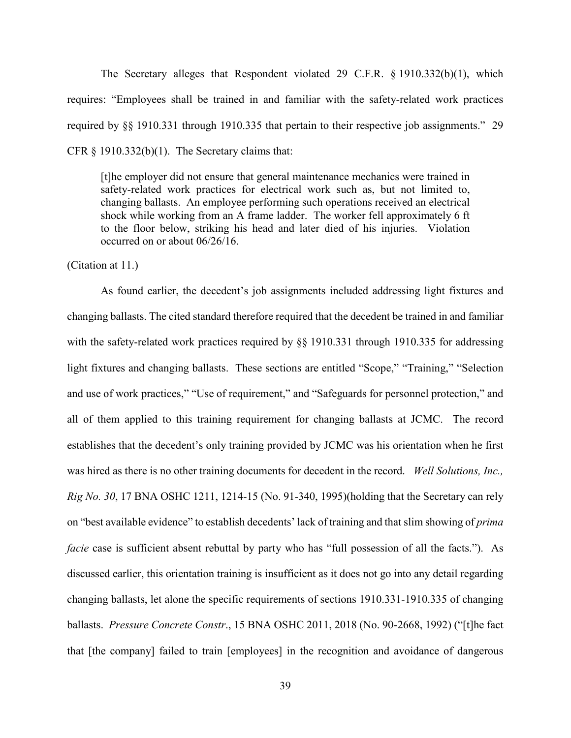The Secretary alleges that Respondent violated 29 C.F.R. § 1910.332(b)(1), which requires: "Employees shall be trained in and familiar with the safety-related work practices required by §§ 1910.331 through 1910.335 that pertain to their respective job assignments." 29 CFR  $\S$  1910.332(b)(1). The Secretary claims that:

[t]he employer did not ensure that general maintenance mechanics were trained in safety-related work practices for electrical work such as, but not limited to, changing ballasts. An employee performing such operations received an electrical shock while working from an A frame ladder. The worker fell approximately 6 ft to the floor below, striking his head and later died of his injuries. Violation occurred on or about 06/26/16.

(Citation at 11.)

As found earlier, the decedent's job assignments included addressing light fixtures and changing ballasts. The cited standard therefore required that the decedent be trained in and familiar with the safety-related work practices required by §§ 1910.331 through 1910.335 for addressing light fixtures and changing ballasts. These sections are entitled "Scope," "Training," "Selection and use of work practices," "Use of requirement," and "Safeguards for personnel protection," and all of them applied to this training requirement for changing ballasts at JCMC. The record establishes that the decedent's only training provided by JCMC was his orientation when he first was hired as there is no other training documents for decedent in the record. *Well Solutions, Inc., Rig No. 30*, 17 BNA OSHC 1211, 1214-15 (No. 91-340, 1995)(holding that the Secretary can rely on "best available evidence" to establish decedents' lack of training and that slim showing of *prima facie* case is sufficient absent rebuttal by party who has "full possession of all the facts."). As discussed earlier, this orientation training is insufficient as it does not go into any detail regarding changing ballasts, let alone the specific requirements of sections 1910.331-1910.335 of changing ballasts. *Pressure Concrete Constr*., 15 BNA OSHC 2011, 2018 (No. 90-2668, 1992) ("[t]he fact that [the company] failed to train [employees] in the recognition and avoidance of dangerous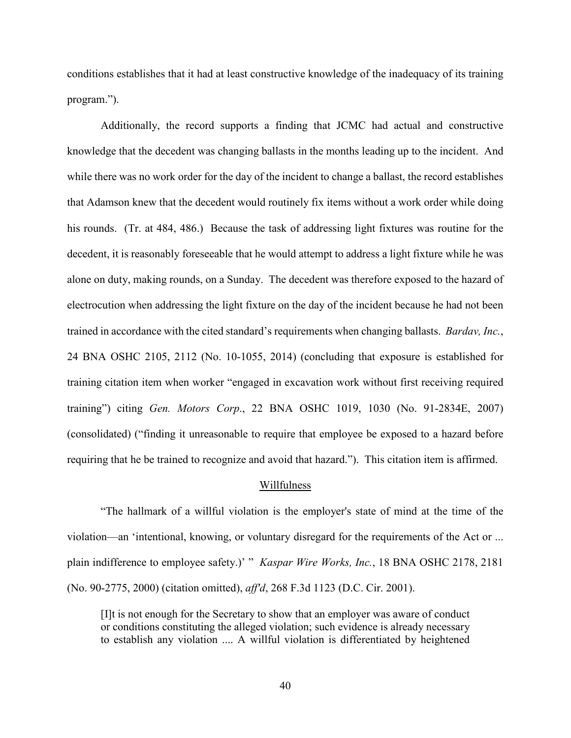conditions establishes that it had at least constructive knowledge of the inadequacy of its training program.").

Additionally, the record supports a finding that JCMC had actual and constructive knowledge that the decedent was changing ballasts in the months leading up to the incident. And while there was no work order for the day of the incident to change a ballast, the record establishes that Adamson knew that the decedent would routinely fix items without a work order while doing his rounds. (Tr. at 484, 486.) Because the task of addressing light fixtures was routine for the decedent, it is reasonably foreseeable that he would attempt to address a light fixture while he was alone on duty, making rounds, on a Sunday. The decedent was therefore exposed to the hazard of electrocution when addressing the light fixture on the day of the incident because he had not been trained in accordance with the cited standard's requirements when changing ballasts. *Bardav, Inc.*, 24 BNA OSHC 2105, 2112 (No. 10-1055, 2014) (concluding that exposure is established for training citation item when worker "engaged in excavation work without first receiving required training") citing *Gen. Motors Corp*., 22 BNA OSHC 1019, 1030 (No. 91-2834E, 2007) (consolidated) ("finding it unreasonable to require that employee be exposed to a hazard before requiring that he be trained to recognize and avoid that hazard."). This citation item is affirmed.

#### Willfulness

"The hallmark of a willful violation is the employer's state of mind at the time of the violation—an 'intentional, knowing, or voluntary disregard for the requirements of the Act or ... plain indifference to employee safety.)' " *Kaspar Wire Works, Inc.*, 18 BNA OSHC 2178, 2181 (No. 90-2775, 2000) (citation omitted), *aff'd*, 268 F.3d 1123 (D.C. Cir. 2001).

[I]t is not enough for the Secretary to show that an employer was aware of conduct or conditions constituting the alleged violation; such evidence is already necessary to establish any violation .... A willful violation is differentiated by heightened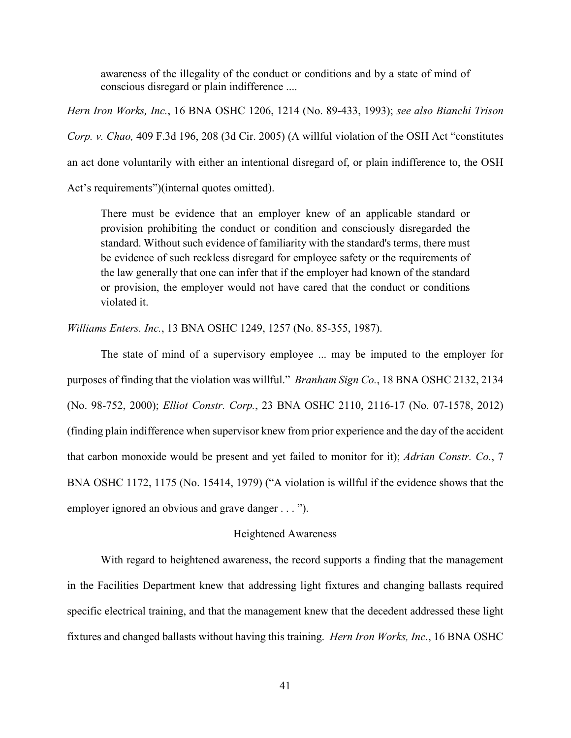awareness of the illegality of the conduct or conditions and by a state of mind of conscious disregard or plain indifference ....

*Hern Iron Works, Inc.*, 16 BNA OSHC 1206, 1214 (No. 89-433, 1993); *see also Bianchi Trison Corp. v. Chao,* 409 F.3d 196, 208 (3d Cir. 2005) (A willful violation of the OSH Act "constitutes an act done voluntarily with either an intentional disregard of, or plain indifference to, the OSH Act's requirements")(internal quotes omitted).

There must be evidence that an employer knew of an applicable standard or provision prohibiting the conduct or condition and consciously disregarded the standard. Without such evidence of familiarity with the standard's terms, there must be evidence of such reckless disregard for employee safety or the requirements of the law generally that one can infer that if the employer had known of the standard or provision, the employer would not have cared that the conduct or conditions violated it.

*Williams Enters. Inc.*, 13 BNA OSHC 1249, 1257 (No. 85-355, 1987).

The state of mind of a supervisory employee ... may be imputed to the employer for purposes of finding that the violation was willful." *Branham Sign Co.*, 18 BNA OSHC 2132, 2134 (No. 98-752, 2000); *Elliot Constr. Corp.*, 23 BNA OSHC 2110, 2116-17 (No. 07-1578, 2012) (finding plain indifference when supervisor knew from prior experience and the day of the accident that carbon monoxide would be present and yet failed to monitor for it); *Adrian Constr. Co.*, 7 BNA OSHC 1172, 1175 (No. 15414, 1979) ("A violation is willful if the evidence shows that the employer ignored an obvious and grave danger . . . ").

## Heightened Awareness

With regard to heightened awareness, the record supports a finding that the management in the Facilities Department knew that addressing light fixtures and changing ballasts required specific electrical training, and that the management knew that the decedent addressed these light fixtures and changed ballasts without having this training. *Hern Iron Works, Inc.*, 16 BNA OSHC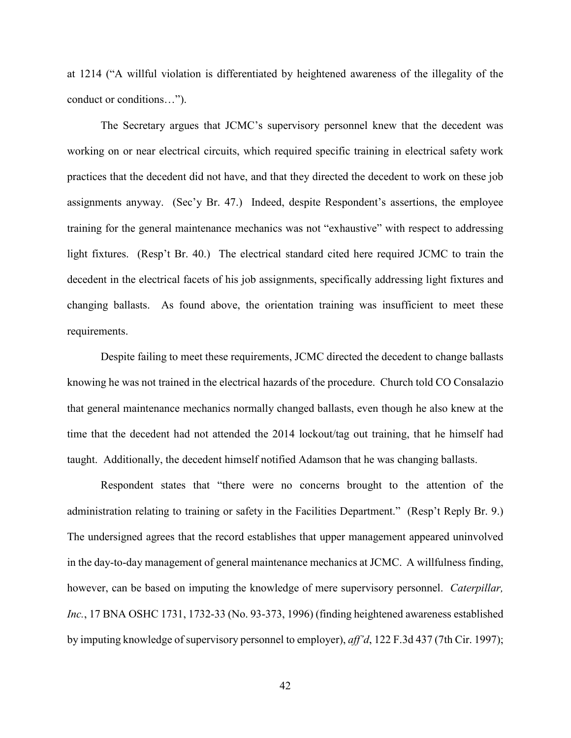at 1214 ("A willful violation is differentiated by heightened awareness of the illegality of the conduct or conditions…").

The Secretary argues that JCMC's supervisory personnel knew that the decedent was working on or near electrical circuits, which required specific training in electrical safety work practices that the decedent did not have, and that they directed the decedent to work on these job assignments anyway. (Sec'y Br. 47.) Indeed, despite Respondent's assertions, the employee training for the general maintenance mechanics was not "exhaustive" with respect to addressing light fixtures. (Resp't Br. 40.) The electrical standard cited here required JCMC to train the decedent in the electrical facets of his job assignments, specifically addressing light fixtures and changing ballasts. As found above, the orientation training was insufficient to meet these requirements.

Despite failing to meet these requirements, JCMC directed the decedent to change ballasts knowing he was not trained in the electrical hazards of the procedure. Church told CO Consalazio that general maintenance mechanics normally changed ballasts, even though he also knew at the time that the decedent had not attended the 2014 lockout/tag out training, that he himself had taught. Additionally, the decedent himself notified Adamson that he was changing ballasts.

Respondent states that "there were no concerns brought to the attention of the administration relating to training or safety in the Facilities Department." (Resp't Reply Br. 9.) The undersigned agrees that the record establishes that upper management appeared uninvolved in the day-to-day management of general maintenance mechanics at JCMC. A willfulness finding, however, can be based on imputing the knowledge of mere supervisory personnel. *Caterpillar, Inc.*, 17 BNA OSHC 1731, 1732-33 (No. 93-373, 1996) (finding heightened awareness established by imputing knowledge of supervisory personnel to employer), *aff'd*, 122 F.3d 437 (7th Cir. 1997);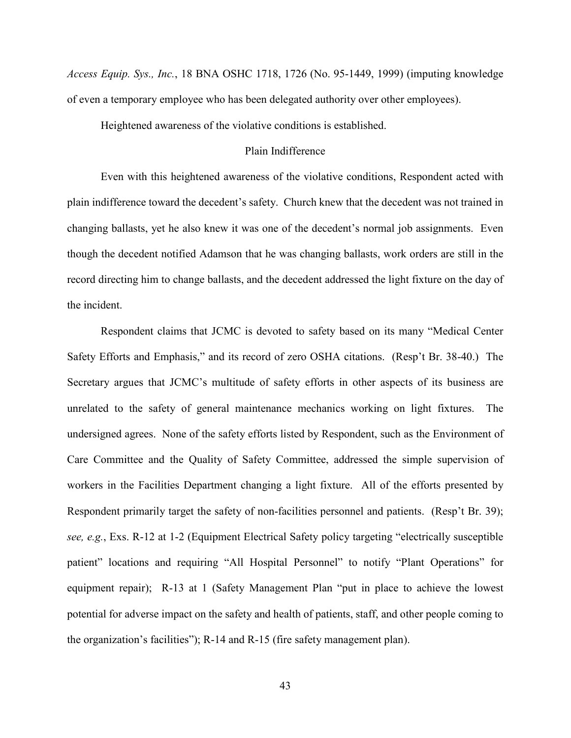*Access Equip. Sys., Inc.*, 18 BNA OSHC 1718, 1726 (No. 95-1449, 1999) (imputing knowledge of even a temporary employee who has been delegated authority over other employees).

Heightened awareness of the violative conditions is established.

## Plain Indifference

Even with this heightened awareness of the violative conditions, Respondent acted with plain indifference toward the decedent's safety. Church knew that the decedent was not trained in changing ballasts, yet he also knew it was one of the decedent's normal job assignments. Even though the decedent notified Adamson that he was changing ballasts, work orders are still in the record directing him to change ballasts, and the decedent addressed the light fixture on the day of the incident.

Respondent claims that JCMC is devoted to safety based on its many "Medical Center Safety Efforts and Emphasis," and its record of zero OSHA citations. (Resp't Br. 38-40.) The Secretary argues that JCMC's multitude of safety efforts in other aspects of its business are unrelated to the safety of general maintenance mechanics working on light fixtures. The undersigned agrees. None of the safety efforts listed by Respondent, such as the Environment of Care Committee and the Quality of Safety Committee, addressed the simple supervision of workers in the Facilities Department changing a light fixture. All of the efforts presented by Respondent primarily target the safety of non-facilities personnel and patients. (Resp't Br. 39); *see, e.g.*, Exs. R-12 at 1-2 (Equipment Electrical Safety policy targeting "electrically susceptible patient" locations and requiring "All Hospital Personnel" to notify "Plant Operations" for equipment repair); R-13 at 1 (Safety Management Plan "put in place to achieve the lowest potential for adverse impact on the safety and health of patients, staff, and other people coming to the organization's facilities"); R-14 and R-15 (fire safety management plan).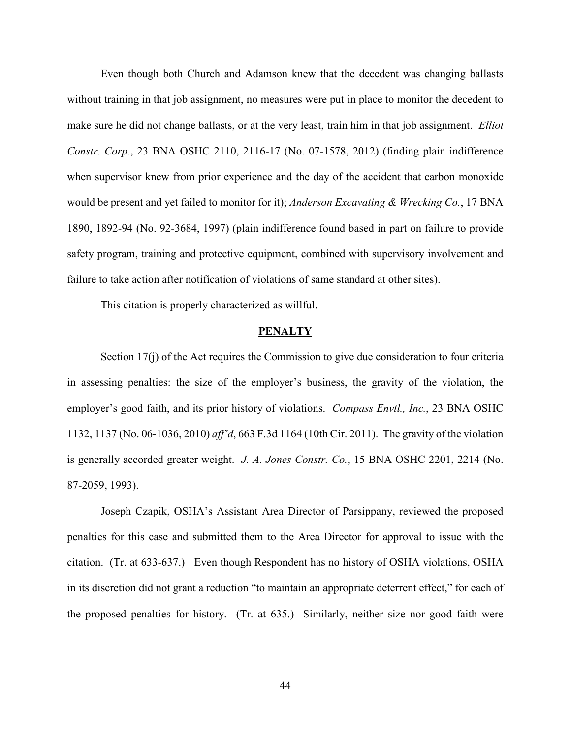Even though both Church and Adamson knew that the decedent was changing ballasts without training in that job assignment, no measures were put in place to monitor the decedent to make sure he did not change ballasts, or at the very least, train him in that job assignment. *Elliot Constr. Corp.*, 23 BNA OSHC 2110, 2116-17 (No. 07-1578, 2012) (finding plain indifference when supervisor knew from prior experience and the day of the accident that carbon monoxide would be present and yet failed to monitor for it); *Anderson Excavating & Wrecking Co.*, 17 BNA 1890, 1892-94 (No. 92-3684, 1997) (plain indifference found based in part on failure to provide safety program, training and protective equipment, combined with supervisory involvement and failure to take action after notification of violations of same standard at other sites).

This citation is properly characterized as willful.

#### **PENALTY**

Section 17(j) of the Act requires the Commission to give due consideration to four criteria in assessing penalties: the size of the employer's business, the gravity of the violation, the employer's good faith, and its prior history of violations. *Compass Envtl., Inc.*, 23 BNA OSHC 1132, 1137 (No. 06-1036, 2010) *aff'd*, 663 F.3d 1164 (10th Cir. 2011). The gravity of the violation is generally accorded greater weight. *J. A. Jones Constr. Co.*, 15 BNA OSHC 2201, 2214 (No. 87-2059, 1993).

Joseph Czapik, OSHA's Assistant Area Director of Parsippany, reviewed the proposed penalties for this case and submitted them to the Area Director for approval to issue with the citation. (Tr. at 633-637.) Even though Respondent has no history of OSHA violations, OSHA in its discretion did not grant a reduction "to maintain an appropriate deterrent effect," for each of the proposed penalties for history. (Tr. at 635.) Similarly, neither size nor good faith were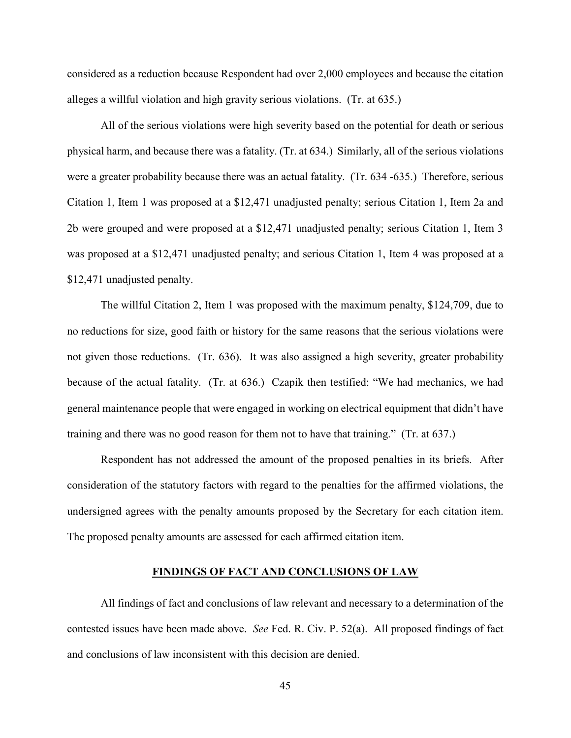considered as a reduction because Respondent had over 2,000 employees and because the citation alleges a willful violation and high gravity serious violations. (Tr. at 635.)

All of the serious violations were high severity based on the potential for death or serious physical harm, and because there was a fatality. (Tr. at 634.) Similarly, all of the serious violations were a greater probability because there was an actual fatality. (Tr. 634 -635.) Therefore, serious Citation 1, Item 1 was proposed at a \$12,471 unadjusted penalty; serious Citation 1, Item 2a and 2b were grouped and were proposed at a \$12,471 unadjusted penalty; serious Citation 1, Item 3 was proposed at a \$12,471 unadjusted penalty; and serious Citation 1, Item 4 was proposed at a \$12,471 unadjusted penalty.

The willful Citation 2, Item 1 was proposed with the maximum penalty, \$124,709, due to no reductions for size, good faith or history for the same reasons that the serious violations were not given those reductions. (Tr. 636). It was also assigned a high severity, greater probability because of the actual fatality. (Tr. at 636.) Czapik then testified: "We had mechanics, we had general maintenance people that were engaged in working on electrical equipment that didn't have training and there was no good reason for them not to have that training." (Tr. at 637.)

Respondent has not addressed the amount of the proposed penalties in its briefs. After consideration of the statutory factors with regard to the penalties for the affirmed violations, the undersigned agrees with the penalty amounts proposed by the Secretary for each citation item. The proposed penalty amounts are assessed for each affirmed citation item.

## **FINDINGS OF FACT AND CONCLUSIONS OF LAW**

All findings of fact and conclusions of law relevant and necessary to a determination of the contested issues have been made above. *See* Fed. R. Civ. P. 52(a). All proposed findings of fact and conclusions of law inconsistent with this decision are denied.